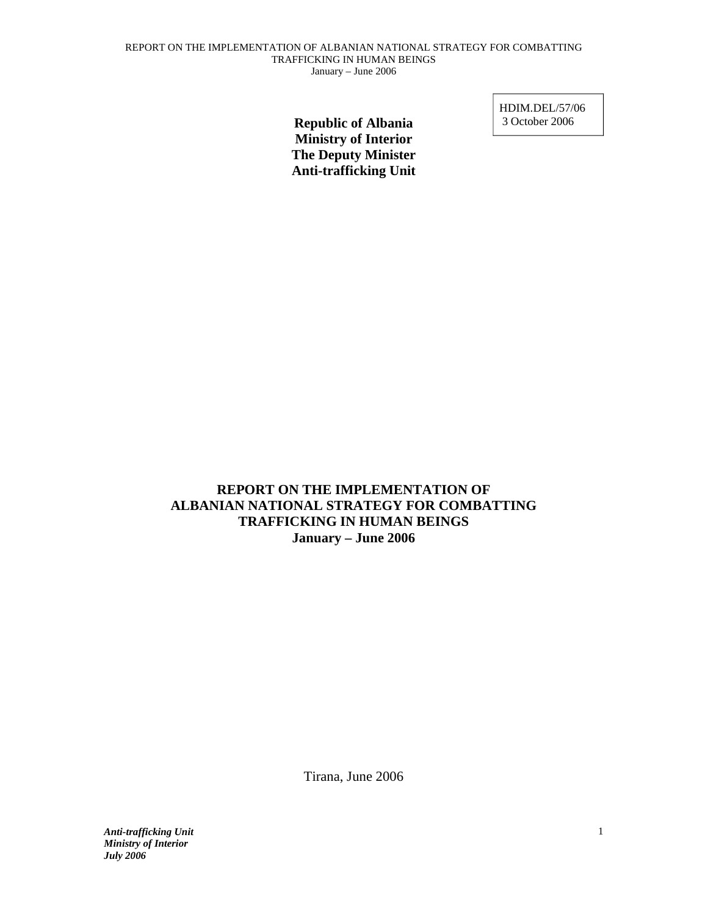**Republic of Albania Ministry of Interior The Deputy Minister Anti-trafficking Unit**  HDIM.DEL/57/06 3 October 2006

**REPORT ON THE IMPLEMENTATION OF ALBANIAN NATIONAL STRATEGY FOR COMBATTING TRAFFICKING IN HUMAN BEINGS January – June 2006**  ethical scrutts, reports or comments of the matters reports of  $r_{\text{max}}$ . The relation of  $r_{\text{max}}$ 

Tirana, June 2006  $T_{\text{temp}}$  to be an essential and definitive document in the quest for the quest for the quest for the quest for the quest for the quest for the quest for the quest for the quest for the quest for the quest for the quest f fiana, sund  $2000$ 

*Anti-trafficking Unit Ministry of Interior*<br>Ivly 2006 *July 2006*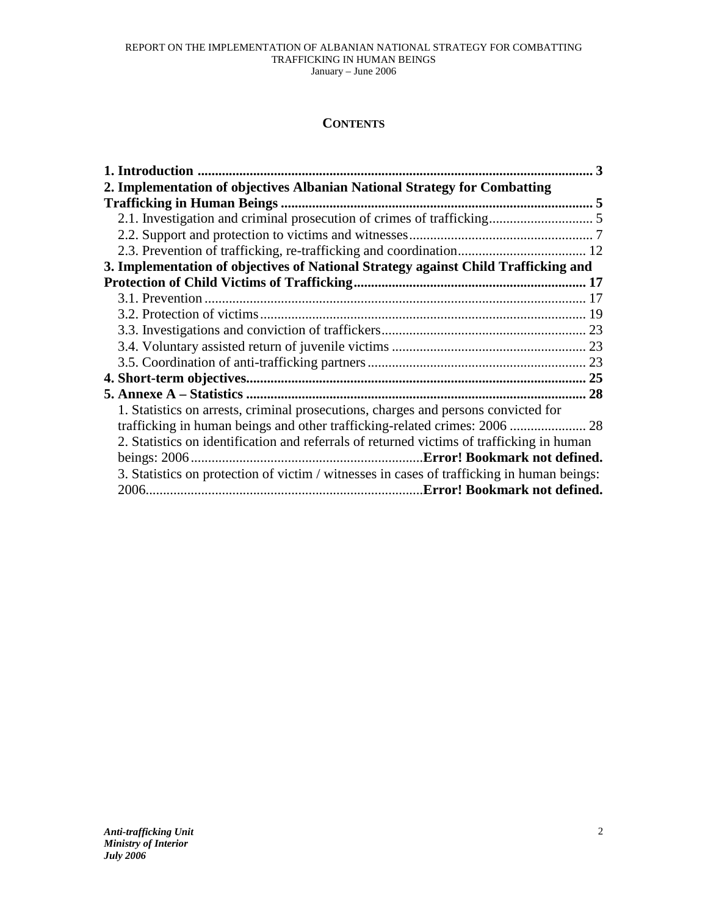## **CONTENTS**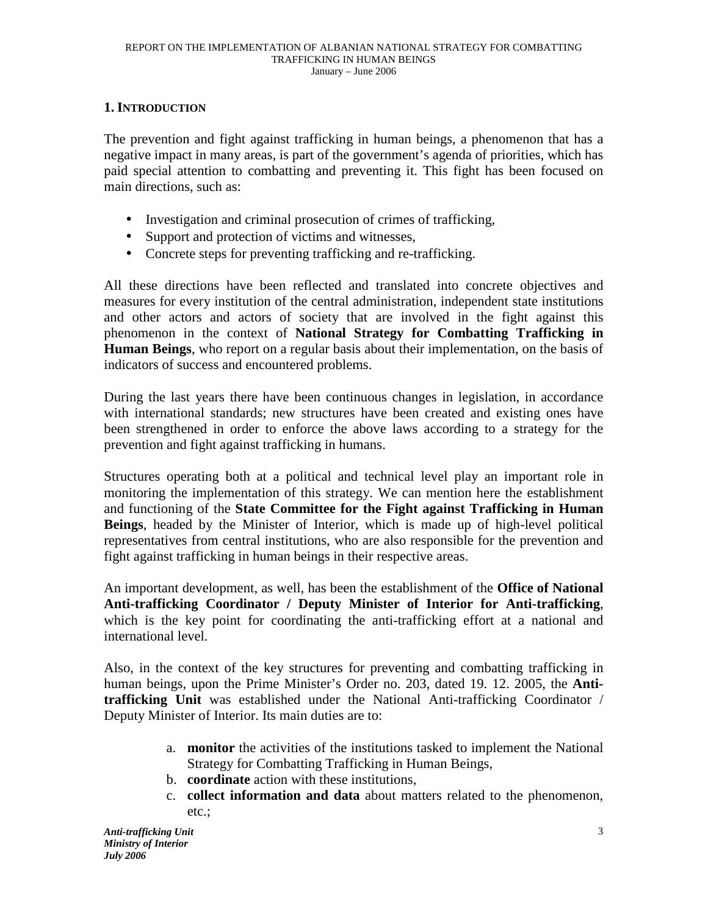## **1. INTRODUCTION**

The prevention and fight against trafficking in human beings, a phenomenon that has a negative impact in many areas, is part of the government's agenda of priorities, which has paid special attention to combatting and preventing it. This fight has been focused on main directions, such as:

- Investigation and criminal prosecution of crimes of trafficking,
- Support and protection of victims and witnesses,
- Concrete steps for preventing trafficking and re-trafficking.

All these directions have been reflected and translated into concrete objectives and measures for every institution of the central administration, independent state institutions and other actors and actors of society that are involved in the fight against this phenomenon in the context of **National Strategy for Combatting Trafficking in Human Beings**, who report on a regular basis about their implementation, on the basis of indicators of success and encountered problems.

During the last years there have been continuous changes in legislation, in accordance with international standards; new structures have been created and existing ones have been strengthened in order to enforce the above laws according to a strategy for the prevention and fight against trafficking in humans.

Structures operating both at a political and technical level play an important role in monitoring the implementation of this strategy. We can mention here the establishment and functioning of the **State Committee for the Fight against Trafficking in Human Beings**, headed by the Minister of Interior, which is made up of high-level political representatives from central institutions, who are also responsible for the prevention and fight against trafficking in human beings in their respective areas.

An important development, as well, has been the establishment of the **Office of National Anti-trafficking Coordinator / Deputy Minister of Interior for Anti-trafficking**, which is the key point for coordinating the anti-trafficking effort at a national and international level.

Also, in the context of the key structures for preventing and combatting trafficking in human beings, upon the Prime Minister's Order no. 203, dated 19. 12. 2005, the **Antitrafficking Unit** was established under the National Anti-trafficking Coordinator / Deputy Minister of Interior. Its main duties are to:

- a. **monitor** the activities of the institutions tasked to implement the National Strategy for Combatting Trafficking in Human Beings,
- b. **coordinate** action with these institutions,
- c. **collect information and data** about matters related to the phenomenon, etc.;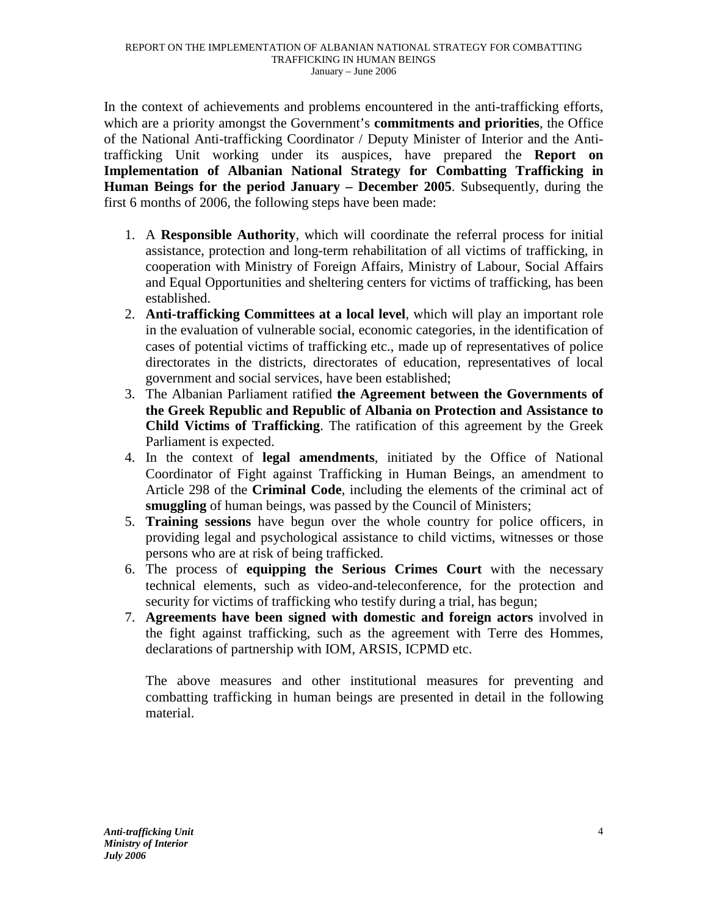In the context of achievements and problems encountered in the anti-trafficking efforts, which are a priority amongst the Government's **commitments and priorities**, the Office of the National Anti-trafficking Coordinator / Deputy Minister of Interior and the Antitrafficking Unit working under its auspices, have prepared the **Report on Implementation of Albanian National Strategy for Combatting Trafficking in Human Beings for the period January – December 2005**. Subsequently, during the first 6 months of 2006, the following steps have been made:

- 1. A **Responsible Authority**, which will coordinate the referral process for initial assistance, protection and long-term rehabilitation of all victims of trafficking, in cooperation with Ministry of Foreign Affairs, Ministry of Labour, Social Affairs and Equal Opportunities and sheltering centers for victims of trafficking, has been established.
- 2. **Anti-trafficking Committees at a local level**, which will play an important role in the evaluation of vulnerable social, economic categories, in the identification of cases of potential victims of trafficking etc., made up of representatives of police directorates in the districts, directorates of education, representatives of local government and social services, have been established;
- 3. The Albanian Parliament ratified **the Agreement between the Governments of the Greek Republic and Republic of Albania on Protection and Assistance to Child Victims of Trafficking**. The ratification of this agreement by the Greek Parliament is expected.
- 4. In the context of **legal amendments**, initiated by the Office of National Coordinator of Fight against Trafficking in Human Beings, an amendment to Article 298 of the **Criminal Code**, including the elements of the criminal act of **smuggling** of human beings, was passed by the Council of Ministers;
- 5. **Training sessions** have begun over the whole country for police officers, in providing legal and psychological assistance to child victims, witnesses or those persons who are at risk of being trafficked.
- 6. The process of **equipping the Serious Crimes Court** with the necessary technical elements, such as video-and-teleconference, for the protection and security for victims of trafficking who testify during a trial, has begun;
- 7. **Agreements have been signed with domestic and foreign actors** involved in the fight against trafficking, such as the agreement with Terre des Hommes, declarations of partnership with IOM, ARSIS, ICPMD etc.

The above measures and other institutional measures for preventing and combatting trafficking in human beings are presented in detail in the following material.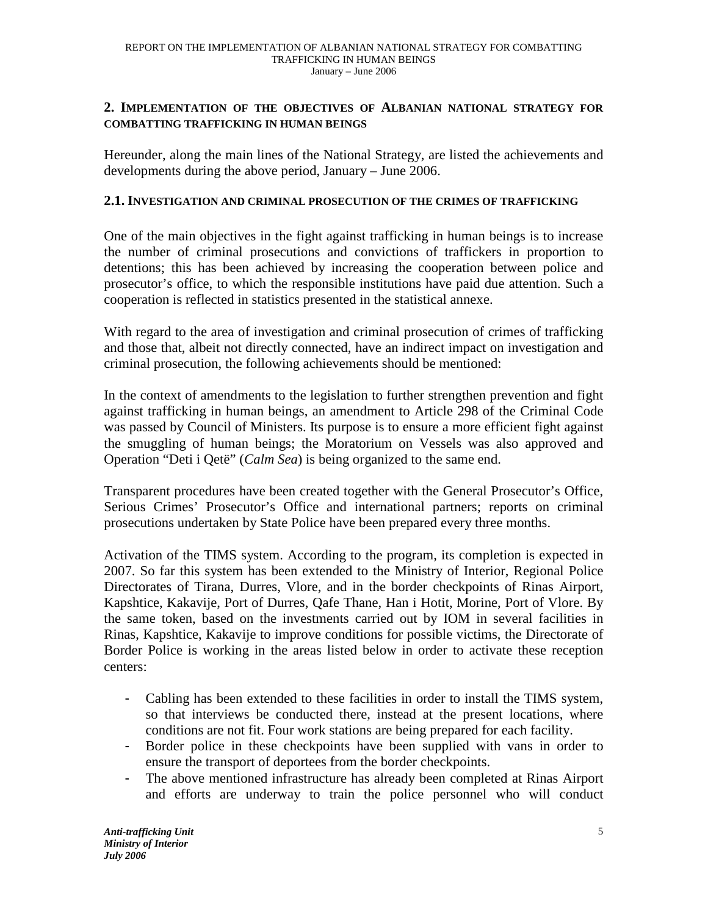## **2. IMPLEMENTATION OF THE OBJECTIVES OF ALBANIAN NATIONAL STRATEGY FOR COMBATTING TRAFFICKING IN HUMAN BEINGS**

Hereunder, along the main lines of the National Strategy, are listed the achievements and developments during the above period, January – June 2006.

## **2.1. INVESTIGATION AND CRIMINAL PROSECUTION OF THE CRIMES OF TRAFFICKING**

One of the main objectives in the fight against trafficking in human beings is to increase the number of criminal prosecutions and convictions of traffickers in proportion to detentions; this has been achieved by increasing the cooperation between police and prosecutor's office, to which the responsible institutions have paid due attention. Such a cooperation is reflected in statistics presented in the statistical annexe.

With regard to the area of investigation and criminal prosecution of crimes of trafficking and those that, albeit not directly connected, have an indirect impact on investigation and criminal prosecution, the following achievements should be mentioned:

In the context of amendments to the legislation to further strengthen prevention and fight against trafficking in human beings, an amendment to Article 298 of the Criminal Code was passed by Council of Ministers. Its purpose is to ensure a more efficient fight against the smuggling of human beings; the Moratorium on Vessels was also approved and Operation "Deti i Qetë" (*Calm Sea*) is being organized to the same end.

Transparent procedures have been created together with the General Prosecutor's Office, Serious Crimes' Prosecutor's Office and international partners; reports on criminal prosecutions undertaken by State Police have been prepared every three months.

Activation of the TIMS system. According to the program, its completion is expected in 2007. So far this system has been extended to the Ministry of Interior, Regional Police Directorates of Tirana, Durres, Vlore, and in the border checkpoints of Rinas Airport, Kapshtice, Kakavije, Port of Durres, Qafe Thane, Han i Hotit, Morine, Port of Vlore. By the same token, based on the investments carried out by IOM in several facilities in Rinas, Kapshtice, Kakavije to improve conditions for possible victims, the Directorate of Border Police is working in the areas listed below in order to activate these reception centers:

- Cabling has been extended to these facilities in order to install the TIMS system, so that interviews be conducted there, instead at the present locations, where conditions are not fit. Four work stations are being prepared for each facility.
- Border police in these checkpoints have been supplied with vans in order to ensure the transport of deportees from the border checkpoints.
- The above mentioned infrastructure has already been completed at Rinas Airport and efforts are underway to train the police personnel who will conduct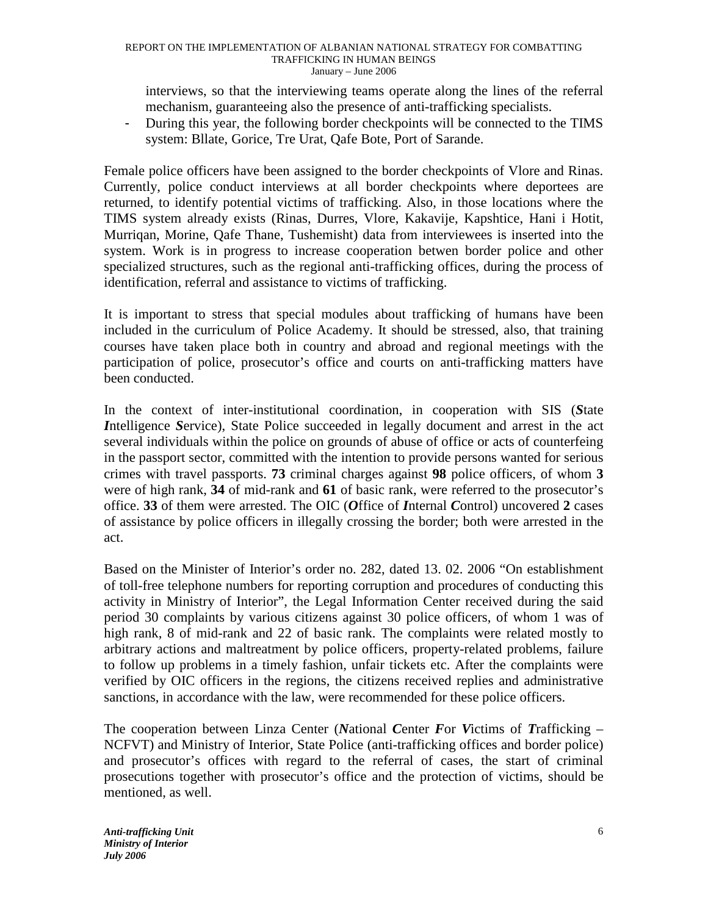interviews, so that the interviewing teams operate along the lines of the referral mechanism, guaranteeing also the presence of anti-trafficking specialists.

- During this year, the following border checkpoints will be connected to the TIMS system: Bllate, Gorice, Tre Urat, Qafe Bote, Port of Sarande.

Female police officers have been assigned to the border checkpoints of Vlore and Rinas. Currently, police conduct interviews at all border checkpoints where deportees are returned, to identify potential victims of trafficking. Also, in those locations where the TIMS system already exists (Rinas, Durres, Vlore, Kakavije, Kapshtice, Hani i Hotit, Murriqan, Morine, Qafe Thane, Tushemisht) data from interviewees is inserted into the system. Work is in progress to increase cooperation betwen border police and other specialized structures, such as the regional anti-trafficking offices, during the process of identification, referral and assistance to victims of trafficking.

It is important to stress that special modules about trafficking of humans have been included in the curriculum of Police Academy. It should be stressed, also, that training courses have taken place both in country and abroad and regional meetings with the participation of police, prosecutor's office and courts on anti-trafficking matters have been conducted.

In the context of inter-institutional coordination, in cooperation with SIS (*S*tate *I*ntelligence *S*ervice), State Police succeeded in legally document and arrest in the act several individuals within the police on grounds of abuse of office or acts of counterfeing in the passport sector, committed with the intention to provide persons wanted for serious crimes with travel passports. **73** criminal charges against **98** police officers, of whom **3** were of high rank, **34** of mid-rank and **61** of basic rank, were referred to the prosecutor's office. **33** of them were arrested. The OIC (*O*ffice of *I*nternal *C*ontrol) uncovered **2** cases of assistance by police officers in illegally crossing the border; both were arrested in the act.

Based on the Minister of Interior's order no. 282, dated 13. 02. 2006 "On establishment of toll-free telephone numbers for reporting corruption and procedures of conducting this activity in Ministry of Interior", the Legal Information Center received during the said period 30 complaints by various citizens against 30 police officers, of whom 1 was of high rank, 8 of mid-rank and 22 of basic rank. The complaints were related mostly to arbitrary actions and maltreatment by police officers, property-related problems, failure to follow up problems in a timely fashion, unfair tickets etc. After the complaints were verified by OIC officers in the regions, the citizens received replies and administrative sanctions, in accordance with the law, were recommended for these police officers.

The cooperation between Linza Center (*N*ational *C*enter *F*or *V*ictims of *T*rafficking – NCFVT) and Ministry of Interior, State Police (anti-trafficking offices and border police) and prosecutor's offices with regard to the referral of cases, the start of criminal prosecutions together with prosecutor's office and the protection of victims, should be mentioned, as well.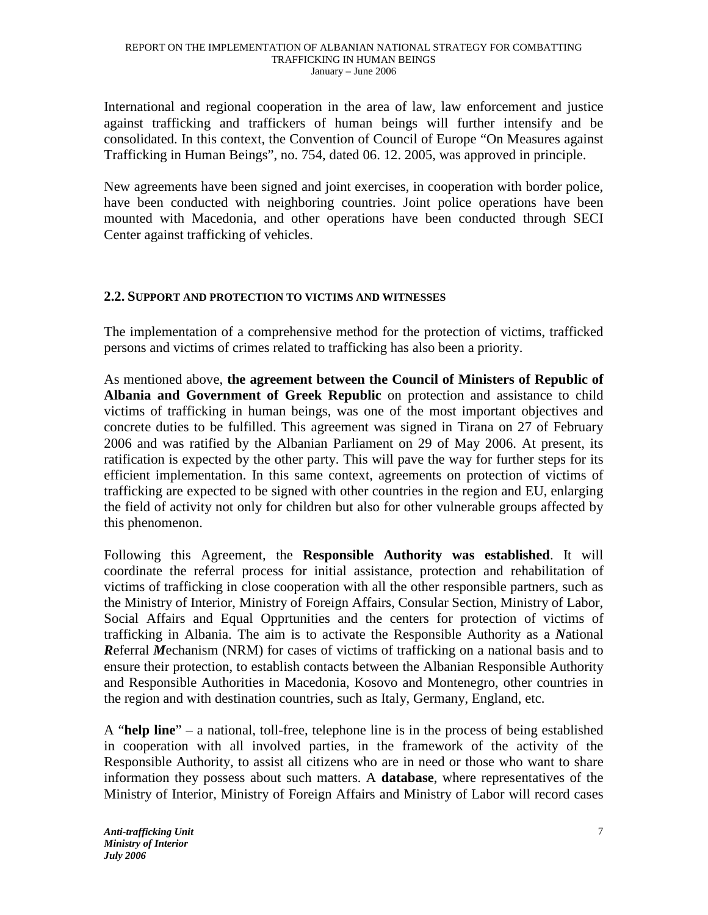International and regional cooperation in the area of law, law enforcement and justice against trafficking and traffickers of human beings will further intensify and be consolidated. In this context, the Convention of Council of Europe "On Measures against Trafficking in Human Beings", no. 754, dated 06. 12. 2005, was approved in principle.

New agreements have been signed and joint exercises, in cooperation with border police, have been conducted with neighboring countries. Joint police operations have been mounted with Macedonia, and other operations have been conducted through SECI Center against trafficking of vehicles.

## **2.2. SUPPORT AND PROTECTION TO VICTIMS AND WITNESSES**

The implementation of a comprehensive method for the protection of victims, trafficked persons and victims of crimes related to trafficking has also been a priority.

As mentioned above, **the agreement between the Council of Ministers of Republic of Albania and Government of Greek Republic** on protection and assistance to child victims of trafficking in human beings, was one of the most important objectives and concrete duties to be fulfilled. This agreement was signed in Tirana on 27 of February 2006 and was ratified by the Albanian Parliament on 29 of May 2006. At present, its ratification is expected by the other party. This will pave the way for further steps for its efficient implementation. In this same context, agreements on protection of victims of trafficking are expected to be signed with other countries in the region and EU, enlarging the field of activity not only for children but also for other vulnerable groups affected by this phenomenon.

Following this Agreement, the **Responsible Authority was established**. It will coordinate the referral process for initial assistance, protection and rehabilitation of victims of trafficking in close cooperation with all the other responsible partners, such as the Ministry of Interior, Ministry of Foreign Affairs, Consular Section, Ministry of Labor, Social Affairs and Equal Opprtunities and the centers for protection of victims of trafficking in Albania. The aim is to activate the Responsible Authority as a *N*ational *R*eferral *M*echanism (NRM) for cases of victims of trafficking on a national basis and to ensure their protection, to establish contacts between the Albanian Responsible Authority and Responsible Authorities in Macedonia, Kosovo and Montenegro, other countries in the region and with destination countries, such as Italy, Germany, England, etc.

A "**help line**" – a national, toll-free, telephone line is in the process of being established in cooperation with all involved parties, in the framework of the activity of the Responsible Authority, to assist all citizens who are in need or those who want to share information they possess about such matters. A **database**, where representatives of the Ministry of Interior, Ministry of Foreign Affairs and Ministry of Labor will record cases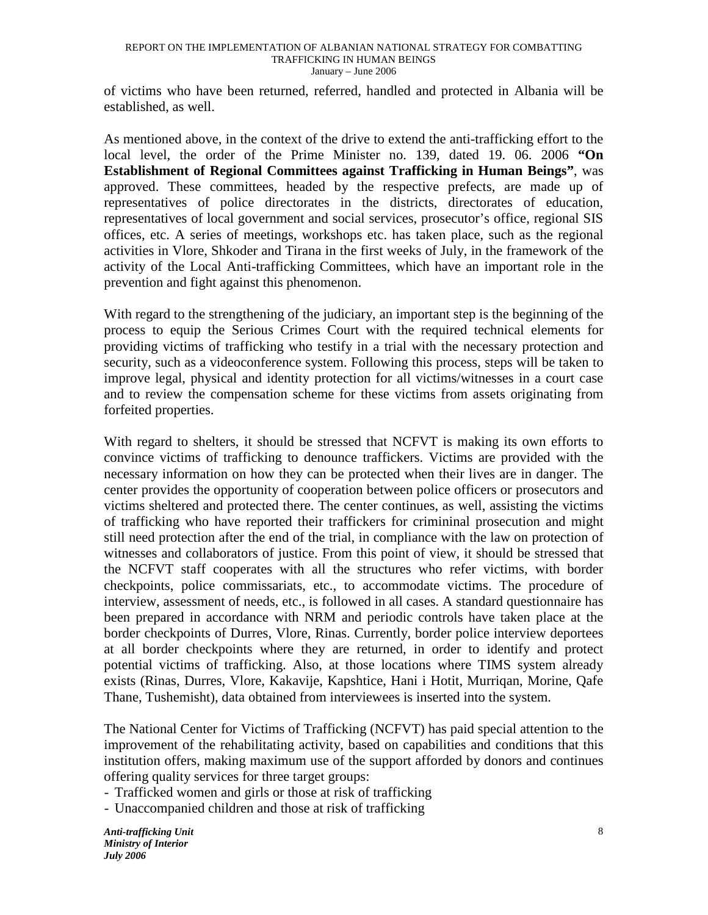of victims who have been returned, referred, handled and protected in Albania will be established, as well.

As mentioned above, in the context of the drive to extend the anti-trafficking effort to the local level, the order of the Prime Minister no. 139, dated 19. 06. 2006 **"On Establishment of Regional Committees against Trafficking in Human Beings"**, was approved. These committees, headed by the respective prefects, are made up of representatives of police directorates in the districts, directorates of education, representatives of local government and social services, prosecutor's office, regional SIS offices, etc. A series of meetings, workshops etc. has taken place, such as the regional activities in Vlore, Shkoder and Tirana in the first weeks of July, in the framework of the activity of the Local Anti-trafficking Committees, which have an important role in the prevention and fight against this phenomenon.

With regard to the strengthening of the judiciary, an important step is the beginning of the process to equip the Serious Crimes Court with the required technical elements for providing victims of trafficking who testify in a trial with the necessary protection and security, such as a videoconference system. Following this process, steps will be taken to improve legal, physical and identity protection for all victims/witnesses in a court case and to review the compensation scheme for these victims from assets originating from forfeited properties.

With regard to shelters, it should be stressed that NCFVT is making its own efforts to convince victims of trafficking to denounce traffickers. Victims are provided with the necessary information on how they can be protected when their lives are in danger. The center provides the opportunity of cooperation between police officers or prosecutors and victims sheltered and protected there. The center continues, as well, assisting the victims of trafficking who have reported their traffickers for crimininal prosecution and might still need protection after the end of the trial, in compliance with the law on protection of witnesses and collaborators of justice. From this point of view, it should be stressed that the NCFVT staff cooperates with all the structures who refer victims, with border checkpoints, police commissariats, etc., to accommodate victims. The procedure of interview, assessment of needs, etc., is followed in all cases. A standard questionnaire has been prepared in accordance with NRM and periodic controls have taken place at the border checkpoints of Durres, Vlore, Rinas. Currently, border police interview deportees at all border checkpoints where they are returned, in order to identify and protect potential victims of trafficking. Also, at those locations where TIMS system already exists (Rinas, Durres, Vlore, Kakavije, Kapshtice, Hani i Hotit, Murriqan, Morine, Qafe Thane, Tushemisht), data obtained from interviewees is inserted into the system.

The National Center for Victims of Trafficking (NCFVT) has paid special attention to the improvement of the rehabilitating activity, based on capabilities and conditions that this institution offers, making maximum use of the support afforded by donors and continues offering quality services for three target groups:

- Trafficked women and girls or those at risk of trafficking

- Unaccompanied children and those at risk of trafficking

*Anti-trafficking Unit Ministry of Interior July 2006*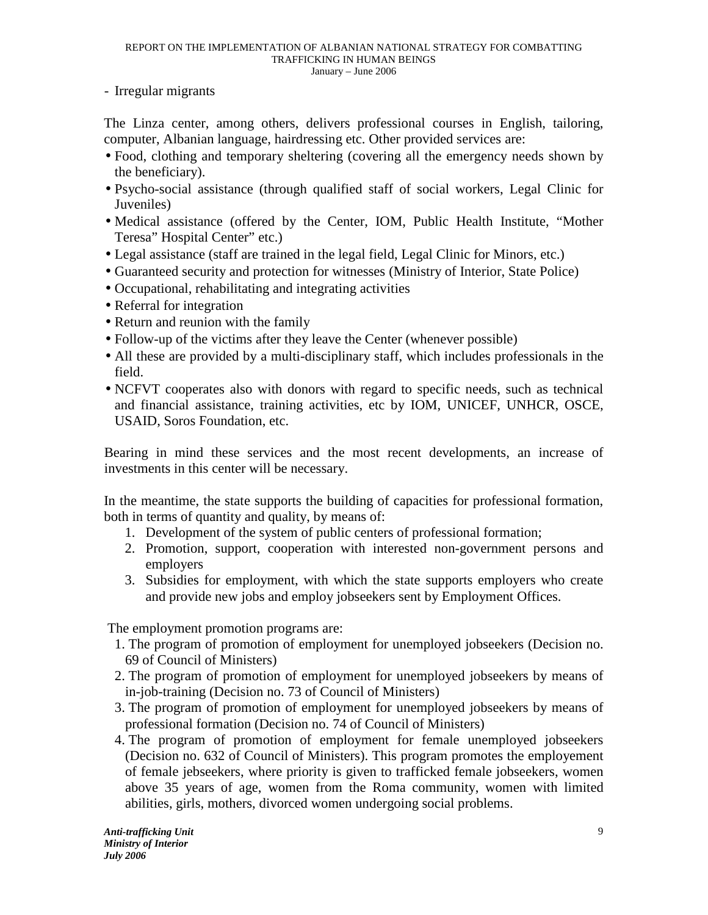- Irregular migrants

The Linza center, among others, delivers professional courses in English, tailoring, computer, Albanian language, hairdressing etc. Other provided services are:

- Food, clothing and temporary sheltering (covering all the emergency needs shown by the beneficiary).
- Psycho-social assistance (through qualified staff of social workers, Legal Clinic for Juveniles)
- Medical assistance (offered by the Center, IOM, Public Health Institute, "Mother Teresa" Hospital Center" etc.)
- Legal assistance (staff are trained in the legal field, Legal Clinic for Minors, etc.)
- Guaranteed security and protection for witnesses (Ministry of Interior, State Police)
- Occupational, rehabilitating and integrating activities
- Referral for integration
- Return and reunion with the family
- Follow-up of the victims after they leave the Center (whenever possible)
- All these are provided by a multi-disciplinary staff, which includes professionals in the field.
- NCFVT cooperates also with donors with regard to specific needs, such as technical and financial assistance, training activities, etc by IOM, UNICEF, UNHCR, OSCE, USAID, Soros Foundation, etc.

Bearing in mind these services and the most recent developments, an increase of investments in this center will be necessary.

In the meantime, the state supports the building of capacities for professional formation, both in terms of quantity and quality, by means of:

- 1. Development of the system of public centers of professional formation;
- 2. Promotion, support, cooperation with interested non-government persons and employers
- 3. Subsidies for employment, with which the state supports employers who create and provide new jobs and employ jobseekers sent by Employment Offices.

The employment promotion programs are:

- 1. The program of promotion of employment for unemployed jobseekers (Decision no. 69 of Council of Ministers)
- 2. The program of promotion of employment for unemployed jobseekers by means of in-job-training (Decision no. 73 of Council of Ministers)
- 3. The program of promotion of employment for unemployed jobseekers by means of professional formation (Decision no. 74 of Council of Ministers)
- 4. The program of promotion of employment for female unemployed jobseekers (Decision no. 632 of Council of Ministers). This program promotes the employement of female jebseekers, where priority is given to trafficked female jobseekers, women above 35 years of age, women from the Roma community, women with limited abilities, girls, mothers, divorced women undergoing social problems.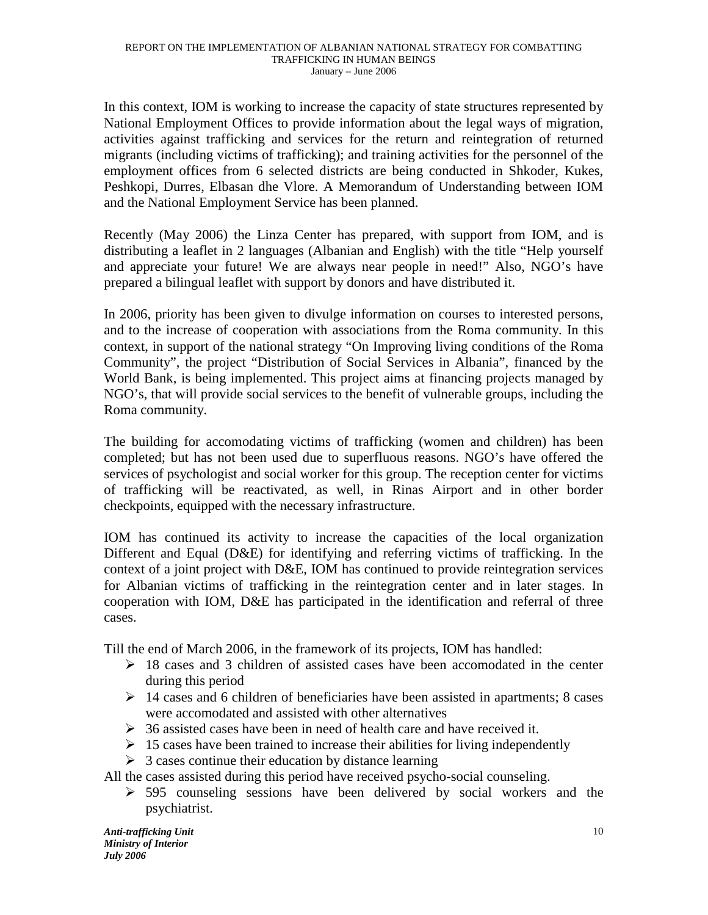In this context, IOM is working to increase the capacity of state structures represented by National Employment Offices to provide information about the legal ways of migration, activities against trafficking and services for the return and reintegration of returned migrants (including victims of trafficking); and training activities for the personnel of the employment offices from 6 selected districts are being conducted in Shkoder, Kukes, Peshkopi, Durres, Elbasan dhe Vlore. A Memorandum of Understanding between IOM and the National Employment Service has been planned.

Recently (May 2006) the Linza Center has prepared, with support from IOM, and is distributing a leaflet in 2 languages (Albanian and English) with the title "Help yourself and appreciate your future! We are always near people in need!" Also, NGO's have prepared a bilingual leaflet with support by donors and have distributed it.

In 2006, priority has been given to divulge information on courses to interested persons, and to the increase of cooperation with associations from the Roma community. In this context, in support of the national strategy "On Improving living conditions of the Roma Community", the project "Distribution of Social Services in Albania", financed by the World Bank, is being implemented. This project aims at financing projects managed by NGO's, that will provide social services to the benefit of vulnerable groups, including the Roma community.

The building for accomodating victims of trafficking (women and children) has been completed; but has not been used due to superfluous reasons. NGO's have offered the services of psychologist and social worker for this group. The reception center for victims of trafficking will be reactivated, as well, in Rinas Airport and in other border checkpoints, equipped with the necessary infrastructure.

IOM has continued its activity to increase the capacities of the local organization Different and Equal (D&E) for identifying and referring victims of trafficking. In the context of a joint project with D&E, IOM has continued to provide reintegration services for Albanian victims of trafficking in the reintegration center and in later stages. In cooperation with IOM, D&E has participated in the identification and referral of three cases.

Till the end of March 2006, in the framework of its projects, IOM has handled:

- $\geq$  18 cases and 3 children of assisted cases have been accomodated in the center during this period
- $\geq 14$  cases and 6 children of beneficiaries have been assisted in apartments; 8 cases were accomodated and assisted with other alternatives
- $\geq$  36 assisted cases have been in need of health care and have received it.
- $\geq 15$  cases have been trained to increase their abilities for living independently
- $\geq 3$  cases continue their education by distance learning

All the cases assisted during this period have received psycho-social counseling.

 $\geq$  595 counseling sessions have been delivered by social workers and the psychiatrist.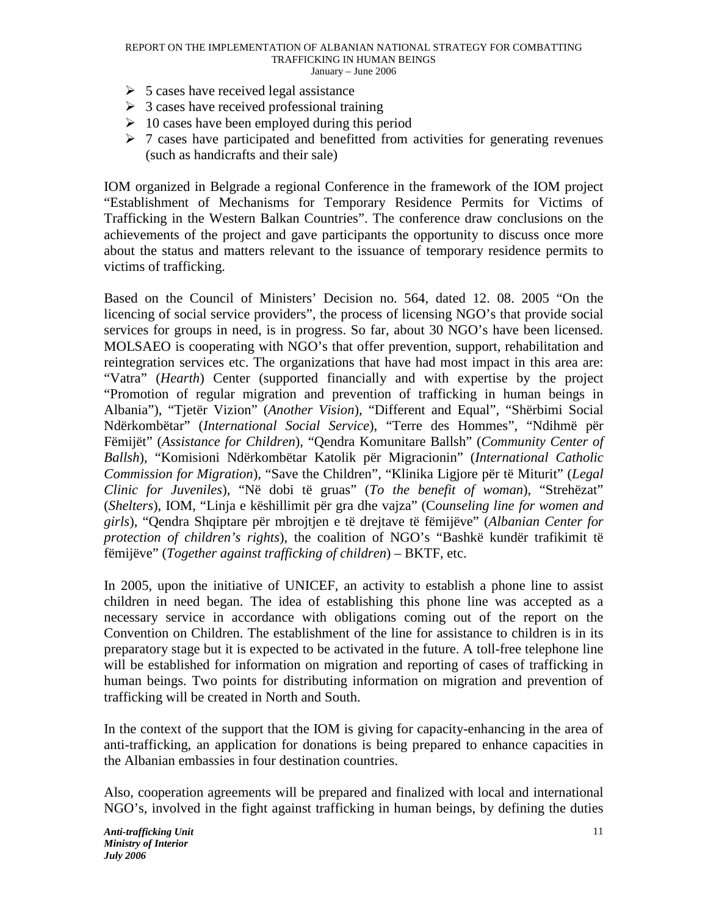- $5$  cases have received legal assistance
- $\geq 3$  cases have received professional training
- $\geq 10$  cases have been employed during this period
- $\geq 7$  cases have participated and benefitted from activities for generating revenues (such as handicrafts and their sale)

IOM organized in Belgrade a regional Conference in the framework of the IOM project "Establishment of Mechanisms for Temporary Residence Permits for Victims of Trafficking in the Western Balkan Countries". The conference draw conclusions on the achievements of the project and gave participants the opportunity to discuss once more about the status and matters relevant to the issuance of temporary residence permits to victims of trafficking.

Based on the Council of Ministers' Decision no. 564, dated 12. 08. 2005 "On the licencing of social service providers", the process of licensing NGO's that provide social services for groups in need, is in progress. So far, about 30 NGO's have been licensed. MOLSAEO is cooperating with NGO's that offer prevention, support, rehabilitation and reintegration services etc. The organizations that have had most impact in this area are: "Vatra" (*Hearth*) Center (supported financially and with expertise by the project "Promotion of regular migration and prevention of trafficking in human beings in Albania"), "Tjetër Vizion" (*Another Vision*), "Different and Equal", "Shërbimi Social Ndërkombëtar" (*International Social Service*), "Terre des Hommes", "Ndihmë për Fëmijët" (*Assistance for Children*), "Qendra Komunitare Ballsh" (*Community Center of Ballsh*), "Komisioni Ndërkombëtar Katolik për Migracionin" (*International Catholic Commission for Migration*), "Save the Children", "Klinika Ligjore për të Miturit" (*Legal Clinic for Juveniles*), "Në dobi të gruas" (*To the benefit of woman*), "Strehëzat" (*Shelters*), IOM, "Linja e këshillimit për gra dhe vajza" (C*ounseling line for women and girls*), "Qendra Shqiptare për mbrojtjen e të drejtave të fëmijëve" (*Albanian Center for protection of children's rights*), the coalition of NGO's "Bashkë kundër trafikimit të fëmijëve" (*Together against trafficking of children*) – BKTF, etc.

In 2005, upon the initiative of UNICEF, an activity to establish a phone line to assist children in need began. The idea of establishing this phone line was accepted as a necessary service in accordance with obligations coming out of the report on the Convention on Children. The establishment of the line for assistance to children is in its preparatory stage but it is expected to be activated in the future. A toll-free telephone line will be established for information on migration and reporting of cases of trafficking in human beings. Two points for distributing information on migration and prevention of trafficking will be created in North and South.

In the context of the support that the IOM is giving for capacity-enhancing in the area of anti-trafficking, an application for donations is being prepared to enhance capacities in the Albanian embassies in four destination countries.

Also, cooperation agreements will be prepared and finalized with local and international NGO's, involved in the fight against trafficking in human beings, by defining the duties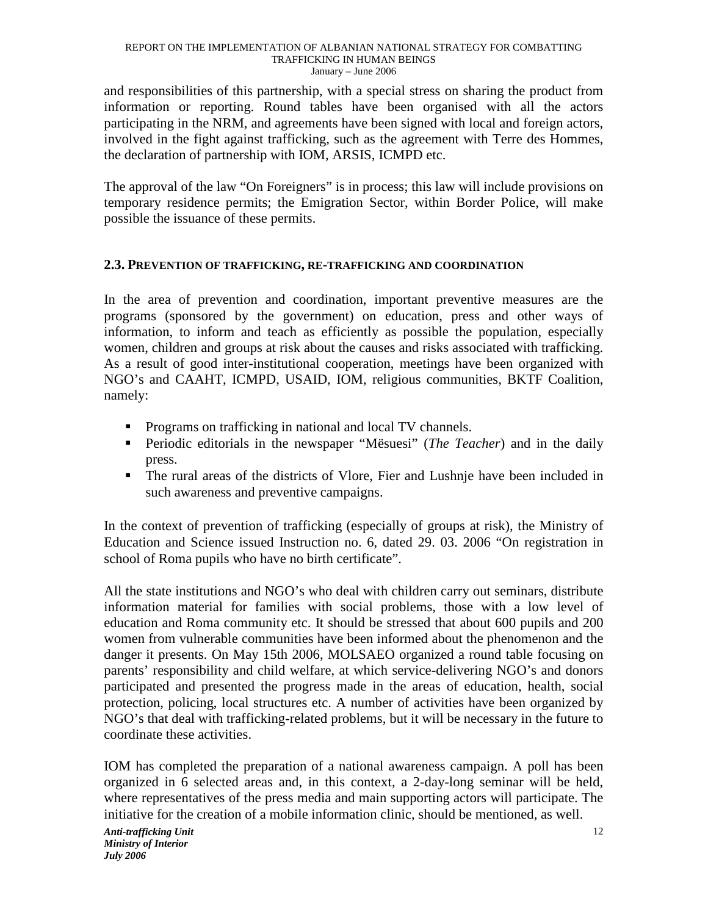and responsibilities of this partnership, with a special stress on sharing the product from information or reporting. Round tables have been organised with all the actors participating in the NRM, and agreements have been signed with local and foreign actors, involved in the fight against trafficking, such as the agreement with Terre des Hommes, the declaration of partnership with IOM, ARSIS, ICMPD etc.

The approval of the law "On Foreigners" is in process; this law will include provisions on temporary residence permits; the Emigration Sector, within Border Police, will make possible the issuance of these permits.

## **2.3. PREVENTION OF TRAFFICKING, RE-TRAFFICKING AND COORDINATION**

In the area of prevention and coordination, important preventive measures are the programs (sponsored by the government) on education, press and other ways of information, to inform and teach as efficiently as possible the population, especially women, children and groups at risk about the causes and risks associated with trafficking. As a result of good inter-institutional cooperation, meetings have been organized with NGO's and CAAHT, ICMPD, USAID, IOM, religious communities, BKTF Coalition, namely:

- **•** Programs on trafficking in national and local TV channels.
- **Periodic editorials in the newspaper "Mësuesi"** (*The Teacher*) and in the daily press.
- The rural areas of the districts of Vlore, Fier and Lushnje have been included in such awareness and preventive campaigns.

In the context of prevention of trafficking (especially of groups at risk), the Ministry of Education and Science issued Instruction no. 6, dated 29. 03. 2006 "On registration in school of Roma pupils who have no birth certificate".

All the state institutions and NGO's who deal with children carry out seminars, distribute information material for families with social problems, those with a low level of education and Roma community etc. It should be stressed that about 600 pupils and 200 women from vulnerable communities have been informed about the phenomenon and the danger it presents. On May 15th 2006, MOLSAEO organized a round table focusing on parents' responsibility and child welfare, at which service-delivering NGO's and donors participated and presented the progress made in the areas of education, health, social protection, policing, local structures etc. A number of activities have been organized by NGO's that deal with trafficking-related problems, but it will be necessary in the future to coordinate these activities.

IOM has completed the preparation of a national awareness campaign. A poll has been organized in 6 selected areas and, in this context, a 2-day-long seminar will be held, where representatives of the press media and main supporting actors will participate. The initiative for the creation of a mobile information clinic, should be mentioned, as well.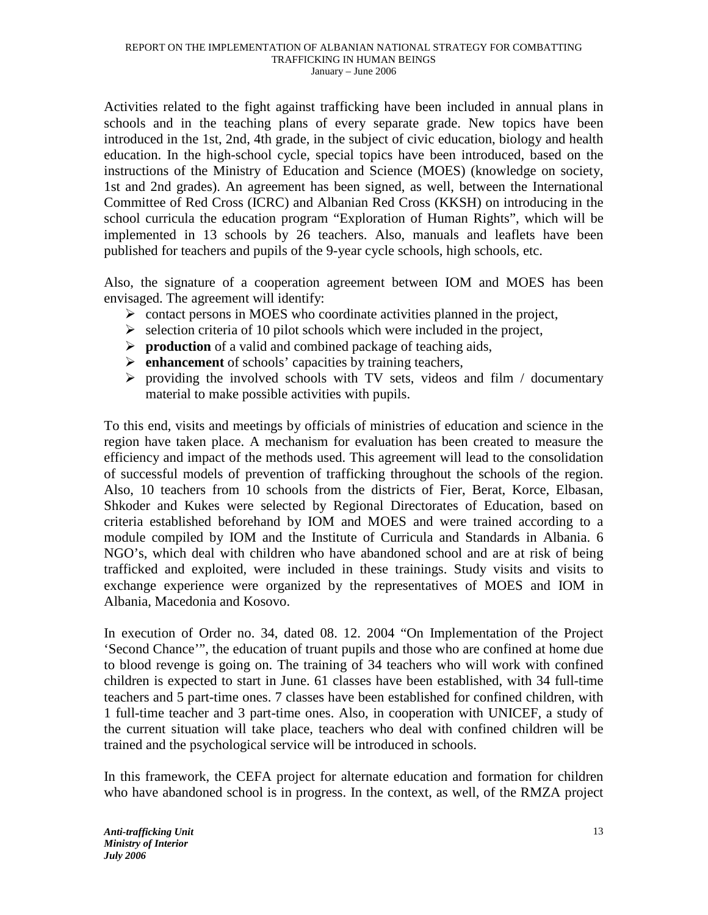Activities related to the fight against trafficking have been included in annual plans in schools and in the teaching plans of every separate grade. New topics have been introduced in the 1st, 2nd, 4th grade, in the subject of civic education, biology and health education. In the high-school cycle, special topics have been introduced, based on the instructions of the Ministry of Education and Science (MOES) (knowledge on society, 1st and 2nd grades). An agreement has been signed, as well, between the International Committee of Red Cross (ICRC) and Albanian Red Cross (KKSH) on introducing in the school curricula the education program "Exploration of Human Rights", which will be implemented in 13 schools by 26 teachers. Also, manuals and leaflets have been published for teachers and pupils of the 9-year cycle schools, high schools, etc.

Also, the signature of a cooperation agreement between IOM and MOES has been envisaged. The agreement will identify:

- $\triangleright$  contact persons in MOES who coordinate activities planned in the project,
- $\triangleright$  selection criteria of 10 pilot schools which were included in the project,
- **production** of a valid and combined package of teaching aids,
- **enhancement** of schools' capacities by training teachers,
- $\triangleright$  providing the involved schools with TV sets, videos and film / documentary material to make possible activities with pupils.

To this end, visits and meetings by officials of ministries of education and science in the region have taken place. A mechanism for evaluation has been created to measure the efficiency and impact of the methods used. This agreement will lead to the consolidation of successful models of prevention of trafficking throughout the schools of the region. Also, 10 teachers from 10 schools from the districts of Fier, Berat, Korce, Elbasan, Shkoder and Kukes were selected by Regional Directorates of Education, based on criteria established beforehand by IOM and MOES and were trained according to a module compiled by IOM and the Institute of Curricula and Standards in Albania. 6 NGO's, which deal with children who have abandoned school and are at risk of being trafficked and exploited, were included in these trainings. Study visits and visits to exchange experience were organized by the representatives of MOES and IOM in Albania, Macedonia and Kosovo.

In execution of Order no. 34, dated 08. 12. 2004 "On Implementation of the Project 'Second Chance'", the education of truant pupils and those who are confined at home due to blood revenge is going on. The training of 34 teachers who will work with confined children is expected to start in June. 61 classes have been established, with 34 full-time teachers and 5 part-time ones. 7 classes have been established for confined children, with 1 full-time teacher and 3 part-time ones. Also, in cooperation with UNICEF, a study of the current situation will take place, teachers who deal with confined children will be trained and the psychological service will be introduced in schools.

In this framework, the CEFA project for alternate education and formation for children who have abandoned school is in progress. In the context, as well, of the RMZA project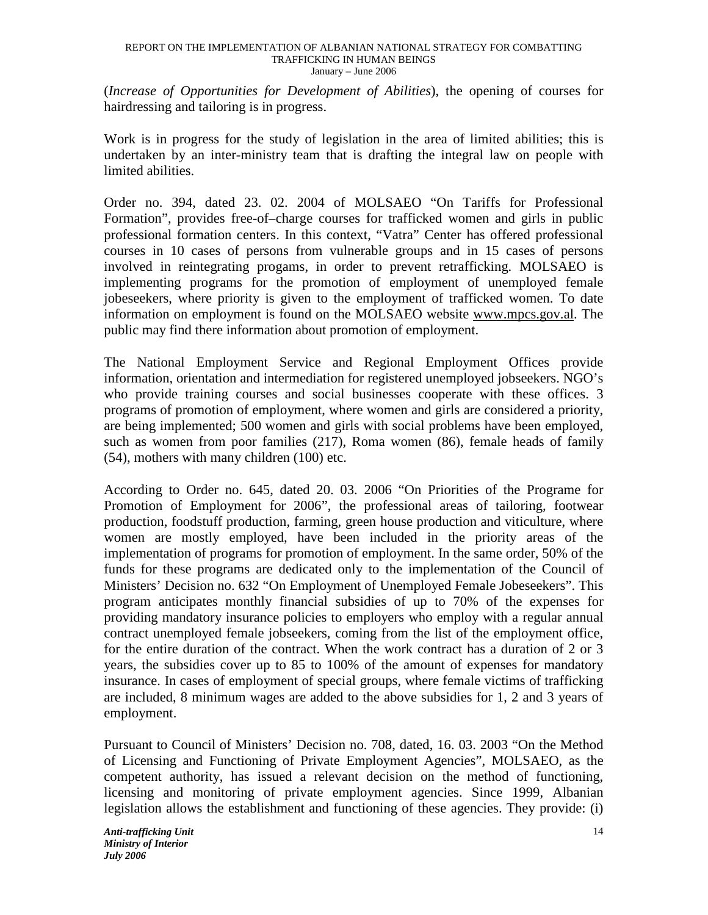(*Increase of Opportunities for Development of Abilities*), the opening of courses for hairdressing and tailoring is in progress.

Work is in progress for the study of legislation in the area of limited abilities; this is undertaken by an inter-ministry team that is drafting the integral law on people with limited abilities.

Order no. 394, dated 23. 02. 2004 of MOLSAEO "On Tariffs for Professional Formation", provides free-of–charge courses for trafficked women and girls in public professional formation centers. In this context, "Vatra" Center has offered professional courses in 10 cases of persons from vulnerable groups and in 15 cases of persons involved in reintegrating progams, in order to prevent retrafficking. MOLSAEO is implementing programs for the promotion of employment of unemployed female jobeseekers, where priority is given to the employment of trafficked women. To date information on employment is found on the MOLSAEO website www.mpcs.gov.al. The public may find there information about promotion of employment.

The National Employment Service and Regional Employment Offices provide information, orientation and intermediation for registered unemployed jobseekers. NGO's who provide training courses and social businesses cooperate with these offices. 3 programs of promotion of employment, where women and girls are considered a priority, are being implemented; 500 women and girls with social problems have been employed, such as women from poor families (217), Roma women (86), female heads of family (54), mothers with many children (100) etc.

According to Order no. 645, dated 20. 03. 2006 "On Priorities of the Programe for Promotion of Employment for 2006", the professional areas of tailoring, footwear production, foodstuff production, farming, green house production and viticulture, where women are mostly employed, have been included in the priority areas of the implementation of programs for promotion of employment. In the same order, 50% of the funds for these programs are dedicated only to the implementation of the Council of Ministers' Decision no. 632 "On Employment of Unemployed Female Jobeseekers". This program anticipates monthly financial subsidies of up to 70% of the expenses for providing mandatory insurance policies to employers who employ with a regular annual contract unemployed female jobseekers, coming from the list of the employment office, for the entire duration of the contract. When the work contract has a duration of 2 or 3 years, the subsidies cover up to 85 to 100% of the amount of expenses for mandatory insurance. In cases of employment of special groups, where female victims of trafficking are included, 8 minimum wages are added to the above subsidies for 1, 2 and 3 years of employment.

Pursuant to Council of Ministers' Decision no. 708, dated, 16. 03. 2003 "On the Method of Licensing and Functioning of Private Employment Agencies", MOLSAEO, as the competent authority, has issued a relevant decision on the method of functioning, licensing and monitoring of private employment agencies. Since 1999, Albanian legislation allows the establishment and functioning of these agencies. They provide: (i)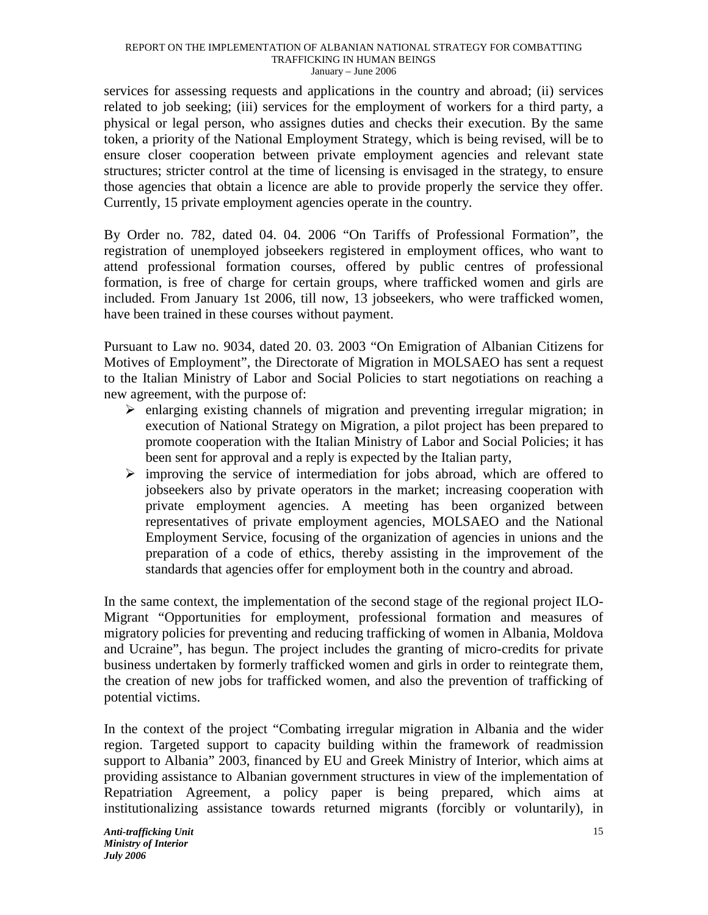services for assessing requests and applications in the country and abroad; (ii) services related to job seeking; (iii) services for the employment of workers for a third party, a physical or legal person, who assignes duties and checks their execution. By the same token, a priority of the National Employment Strategy, which is being revised, will be to ensure closer cooperation between private employment agencies and relevant state structures; stricter control at the time of licensing is envisaged in the strategy, to ensure those agencies that obtain a licence are able to provide properly the service they offer. Currently, 15 private employment agencies operate in the country.

By Order no. 782, dated 04. 04. 2006 "On Tariffs of Professional Formation", the registration of unemployed jobseekers registered in employment offices, who want to attend professional formation courses, offered by public centres of professional formation, is free of charge for certain groups, where trafficked women and girls are included. From January 1st 2006, till now, 13 jobseekers, who were trafficked women, have been trained in these courses without payment.

Pursuant to Law no. 9034, dated 20. 03. 2003 "On Emigration of Albanian Citizens for Motives of Employment", the Directorate of Migration in MOLSAEO has sent a request to the Italian Ministry of Labor and Social Policies to start negotiations on reaching a new agreement, with the purpose of:

- $\triangleright$  enlarging existing channels of migration and preventing irregular migration; in execution of National Strategy on Migration, a pilot project has been prepared to promote cooperation with the Italian Ministry of Labor and Social Policies; it has been sent for approval and a reply is expected by the Italian party,
- $\triangleright$  improving the service of intermediation for jobs abroad, which are offered to jobseekers also by private operators in the market; increasing cooperation with private employment agencies. A meeting has been organized between representatives of private employment agencies, MOLSAEO and the National Employment Service, focusing of the organization of agencies in unions and the preparation of a code of ethics, thereby assisting in the improvement of the standards that agencies offer for employment both in the country and abroad.

In the same context, the implementation of the second stage of the regional project ILO-Migrant "Opportunities for employment, professional formation and measures of migratory policies for preventing and reducing trafficking of women in Albania, Moldova and Ucraine", has begun. The project includes the granting of micro-credits for private business undertaken by formerly trafficked women and girls in order to reintegrate them, the creation of new jobs for trafficked women, and also the prevention of trafficking of potential victims.

In the context of the project "Combating irregular migration in Albania and the wider region. Targeted support to capacity building within the framework of readmission support to Albania" 2003, financed by EU and Greek Ministry of Interior, which aims at providing assistance to Albanian government structures in view of the implementation of Repatriation Agreement, a policy paper is being prepared, which aims at institutionalizing assistance towards returned migrants (forcibly or voluntarily), in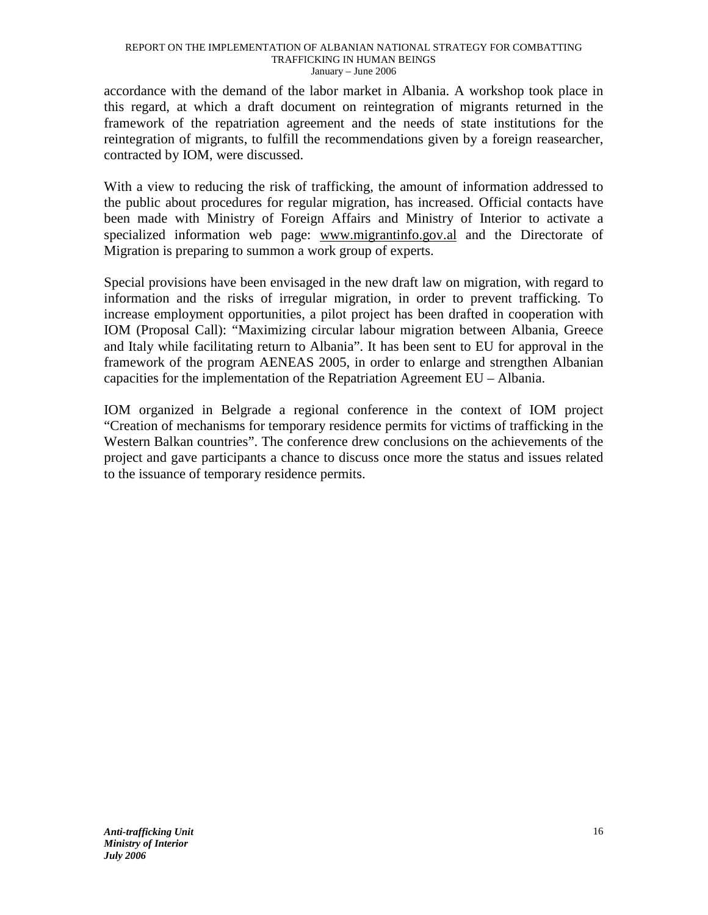accordance with the demand of the labor market in Albania. A workshop took place in this regard, at which a draft document on reintegration of migrants returned in the framework of the repatriation agreement and the needs of state institutions for the reintegration of migrants, to fulfill the recommendations given by a foreign reasearcher, contracted by IOM, were discussed.

With a view to reducing the risk of trafficking, the amount of information addressed to the public about procedures for regular migration, has increased. Official contacts have been made with Ministry of Foreign Affairs and Ministry of Interior to activate a specialized information web page: www.migrantinfo.gov.al and the Directorate of Migration is preparing to summon a work group of experts.

Special provisions have been envisaged in the new draft law on migration, with regard to information and the risks of irregular migration, in order to prevent trafficking. To increase employment opportunities, a pilot project has been drafted in cooperation with IOM (Proposal Call): "Maximizing circular labour migration between Albania, Greece and Italy while facilitating return to Albania". It has been sent to EU for approval in the framework of the program AENEAS 2005, in order to enlarge and strengthen Albanian capacities for the implementation of the Repatriation Agreement EU – Albania.

IOM organized in Belgrade a regional conference in the context of IOM project "Creation of mechanisms for temporary residence permits for victims of trafficking in the Western Balkan countries". The conference drew conclusions on the achievements of the project and gave participants a chance to discuss once more the status and issues related to the issuance of temporary residence permits.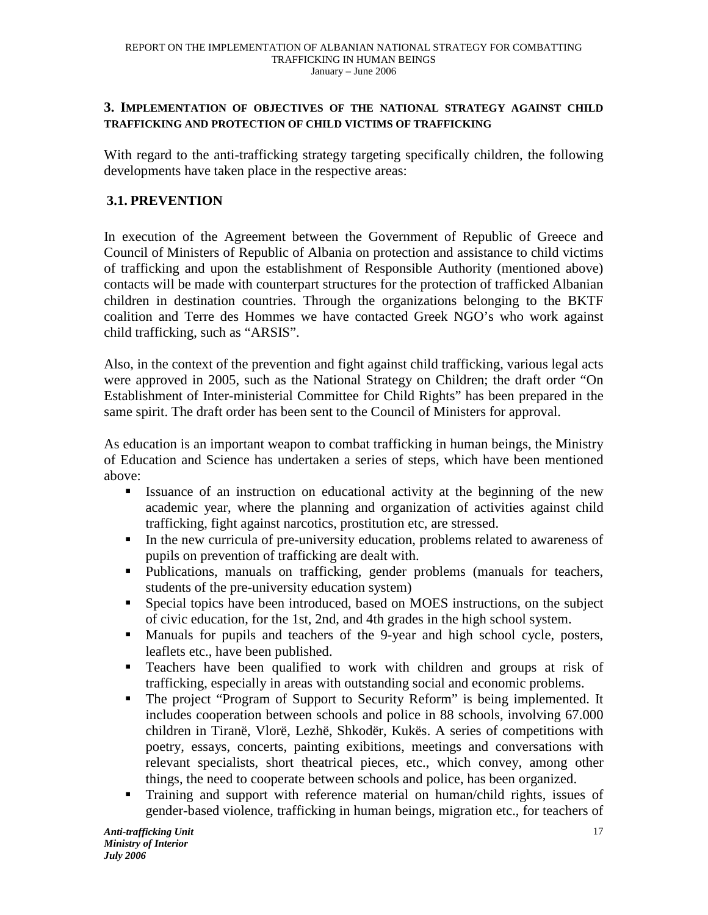## **3. IMPLEMENTATION OF OBJECTIVES OF THE NATIONAL STRATEGY AGAINST CHILD TRAFFICKING AND PROTECTION OF CHILD VICTIMS OF TRAFFICKING**

With regard to the anti-trafficking strategy targeting specifically children, the following developments have taken place in the respective areas:

## **3.1. PREVENTION**

In execution of the Agreement between the Government of Republic of Greece and Council of Ministers of Republic of Albania on protection and assistance to child victims of trafficking and upon the establishment of Responsible Authority (mentioned above) contacts will be made with counterpart structures for the protection of trafficked Albanian children in destination countries. Through the organizations belonging to the BKTF coalition and Terre des Hommes we have contacted Greek NGO's who work against child trafficking, such as "ARSIS".

Also, in the context of the prevention and fight against child trafficking, various legal acts were approved in 2005, such as the National Strategy on Children; the draft order "On Establishment of Inter-ministerial Committee for Child Rights" has been prepared in the same spirit. The draft order has been sent to the Council of Ministers for approval.

As education is an important weapon to combat trafficking in human beings, the Ministry of Education and Science has undertaken a series of steps, which have been mentioned above:

- Issuance of an instruction on educational activity at the beginning of the new academic year, where the planning and organization of activities against child trafficking, fight against narcotics, prostitution etc, are stressed.
- In the new curricula of pre-university education, problems related to awareness of pupils on prevention of trafficking are dealt with.
- Publications, manuals on trafficking, gender problems (manuals for teachers, students of the pre-university education system)
- Special topics have been introduced, based on MOES instructions, on the subject of civic education, for the 1st, 2nd, and 4th grades in the high school system.
- Manuals for pupils and teachers of the 9-year and high school cycle, posters, leaflets etc., have been published.
- **Teachers have been qualified to work with children and groups at risk of** trafficking, especially in areas with outstanding social and economic problems.
- - The project "Program of Support to Security Reform" is being implemented. It includes cooperation between schools and police in 88 schools, involving 67.000 children in Tiranë, Vlorë, Lezhë, Shkodër, Kukës. A series of competitions with poetry, essays, concerts, painting exibitions, meetings and conversations with relevant specialists, short theatrical pieces, etc., which convey, among other things, the need to cooperate between schools and police, has been organized.
- - Training and support with reference material on human/child rights, issues of gender-based violence, trafficking in human beings, migration etc., for teachers of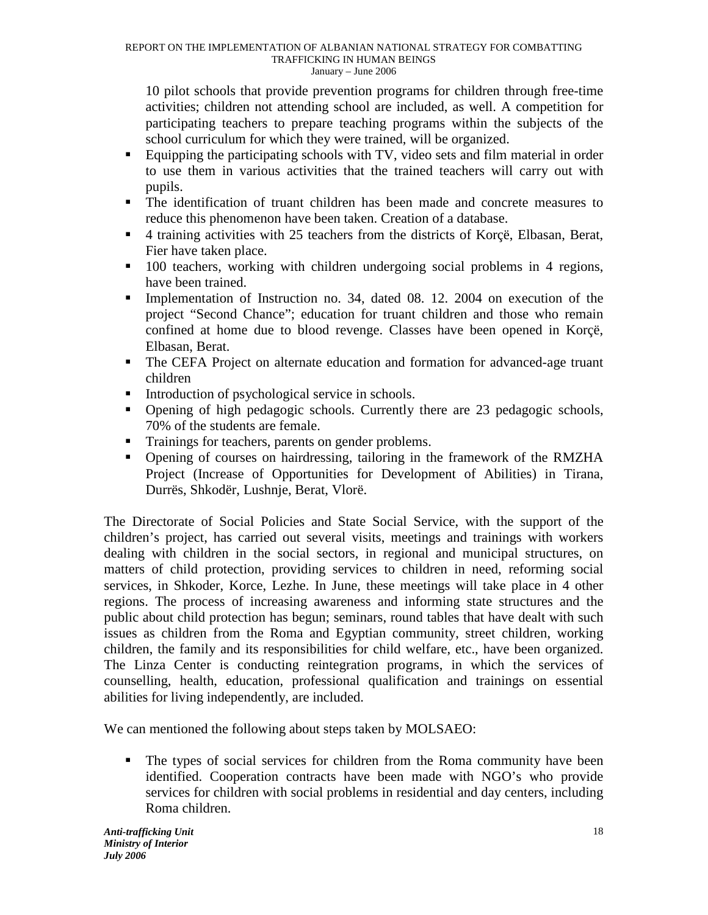10 pilot schools that provide prevention programs for children through free-time activities; children not attending school are included, as well. A competition for participating teachers to prepare teaching programs within the subjects of the school curriculum for which they were trained, will be organized.

- - Equipping the participating schools with TV, video sets and film material in order to use them in various activities that the trained teachers will carry out with pupils.
- The identification of truant children has been made and concrete measures to reduce this phenomenon have been taken. Creation of a database.
- 4 training activities with 25 teachers from the districts of Korçë, Elbasan, Berat, Fier have taken place.
- <sup>•</sup> 100 teachers, working with children undergoing social problems in 4 regions, have been trained.
- Implementation of Instruction no. 34, dated 08. 12. 2004 on execution of the project "Second Chance"; education for truant children and those who remain confined at home due to blood revenge. Classes have been opened in Korçë, Elbasan, Berat.
- The CEFA Project on alternate education and formation for advanced-age truant children
- $\blacksquare$  Introduction of psychological service in schools.
- Opening of high pedagogic schools. Currently there are 23 pedagogic schools, 70% of the students are female.
- **Trainings for teachers, parents on gender problems.**
- Opening of courses on hairdressing, tailoring in the framework of the RMZHA Project (Increase of Opportunities for Development of Abilities) in Tirana, Durrës, Shkodër, Lushnje, Berat, Vlorë.

The Directorate of Social Policies and State Social Service, with the support of the children's project, has carried out several visits, meetings and trainings with workers dealing with children in the social sectors, in regional and municipal structures, on matters of child protection, providing services to children in need, reforming social services, in Shkoder, Korce, Lezhe. In June, these meetings will take place in 4 other regions. The process of increasing awareness and informing state structures and the public about child protection has begun; seminars, round tables that have dealt with such issues as children from the Roma and Egyptian community, street children, working children, the family and its responsibilities for child welfare, etc., have been organized. The Linza Center is conducting reintegration programs, in which the services of counselling, health, education, professional qualification and trainings on essential abilities for living independently, are included.

We can mentioned the following about steps taken by MOLSAEO:

• The types of social services for children from the Roma community have been identified. Cooperation contracts have been made with NGO's who provide services for children with social problems in residential and day centers, including Roma children.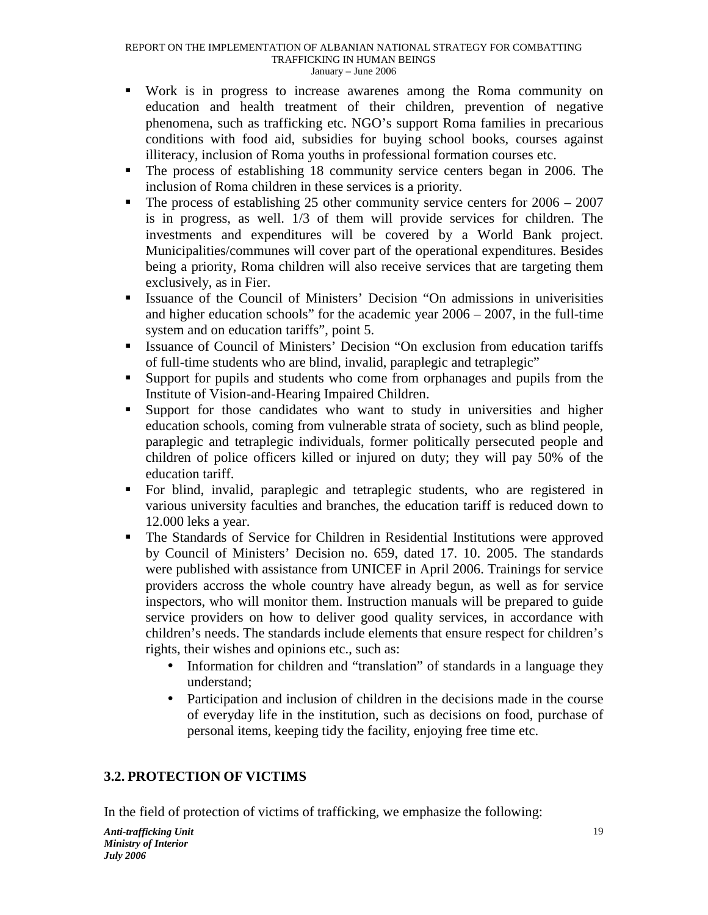- Work is in progress to increase awarenes among the Roma community on education and health treatment of their children, prevention of negative phenomena, such as trafficking etc. NGO's support Roma families in precarious conditions with food aid, subsidies for buying school books, courses against illiteracy, inclusion of Roma youths in professional formation courses etc.
- The process of establishing 18 community service centers began in 2006. The inclusion of Roma children in these services is a priority.
- $\blacksquare$  The process of establishing 25 other community service centers for 2006 2007 is in progress, as well. 1/3 of them will provide services for children. The investments and expenditures will be covered by a World Bank project. Municipalities/communes will cover part of the operational expenditures. Besides being a priority, Roma children will also receive services that are targeting them exclusively, as in Fier.
- Issuance of the Council of Ministers' Decision "On admissions in univerisities and higher education schools" for the academic year  $2006 - 2007$ , in the full-time system and on education tariffs", point 5.
- **Example 5 Issuance of Council of Ministers' Decision "On exclusion from education tariffs** of full-time students who are blind, invalid, paraplegic and tetraplegic"
- Support for pupils and students who come from orphanages and pupils from the Institute of Vision-and-Hearing Impaired Children.
- - Support for those candidates who want to study in universities and higher education schools, coming from vulnerable strata of society, such as blind people, paraplegic and tetraplegic individuals, former politically persecuted people and children of police officers killed or injured on duty; they will pay 50% of the education tariff.
- - For blind, invalid, paraplegic and tetraplegic students, who are registered in various university faculties and branches, the education tariff is reduced down to 12.000 leks a year.
- - The Standards of Service for Children in Residential Institutions were approved by Council of Ministers' Decision no. 659, dated 17. 10. 2005. The standards were published with assistance from UNICEF in April 2006. Trainings for service providers accross the whole country have already begun, as well as for service inspectors, who will monitor them. Instruction manuals will be prepared to guide service providers on how to deliver good quality services, in accordance with children's needs. The standards include elements that ensure respect for children's rights, their wishes and opinions etc., such as:
	- Information for children and "translation" of standards in a language they understand;
	- Participation and inclusion of children in the decisions made in the course of everyday life in the institution, such as decisions on food, purchase of personal items, keeping tidy the facility, enjoying free time etc.

## **3.2. PROTECTION OF VICTIMS**

In the field of protection of victims of trafficking, we emphasize the following: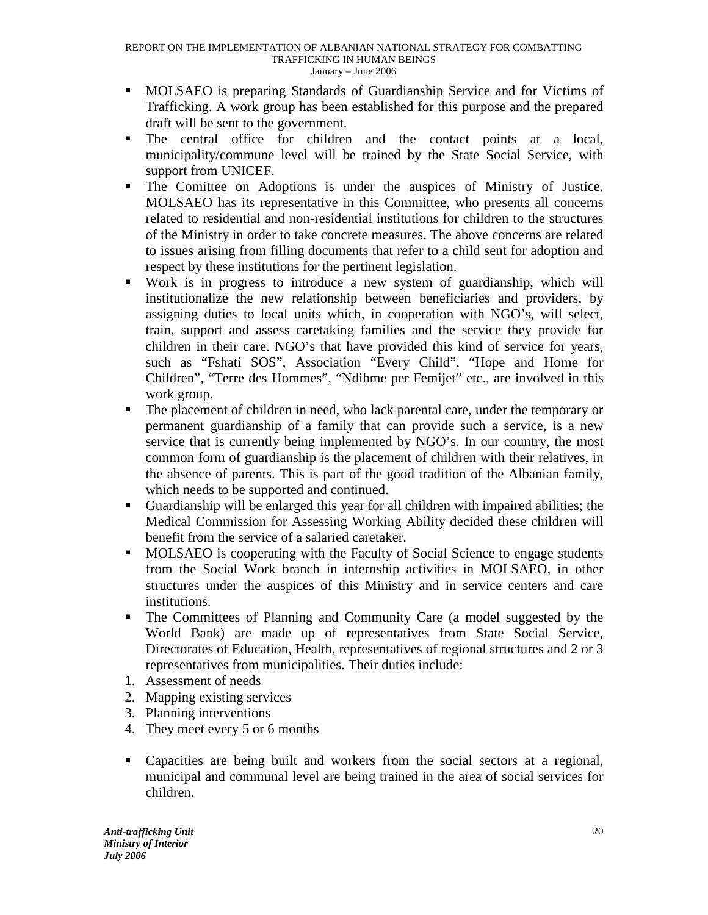- MOLSAEO is preparing Standards of Guardianship Service and for Victims of Trafficking. A work group has been established for this purpose and the prepared draft will be sent to the government.
- The central office for children and the contact points at a local, municipality/commune level will be trained by the State Social Service, with support from UNICEF.
- - The Comittee on Adoptions is under the auspices of Ministry of Justice. MOLSAEO has its representative in this Committee, who presents all concerns related to residential and non-residential institutions for children to the structures of the Ministry in order to take concrete measures. The above concerns are related to issues arising from filling documents that refer to a child sent for adoption and respect by these institutions for the pertinent legislation.
- - Work is in progress to introduce a new system of guardianship, which will institutionalize the new relationship between beneficiaries and providers, by assigning duties to local units which, in cooperation with NGO's, will select, train, support and assess caretaking families and the service they provide for children in their care. NGO's that have provided this kind of service for years, such as "Fshati SOS", Association "Every Child", "Hope and Home for Children", "Terre des Hommes", "Ndihme per Femijet" etc., are involved in this work group.
- - The placement of children in need, who lack parental care, under the temporary or permanent guardianship of a family that can provide such a service, is a new service that is currently being implemented by NGO's. In our country, the most common form of guardianship is the placement of children with their relatives, in the absence of parents. This is part of the good tradition of the Albanian family, which needs to be supported and continued.
- Guardianship will be enlarged this year for all children with impaired abilities; the Medical Commission for Assessing Working Ability decided these children will benefit from the service of a salaried caretaker.
- MOLSAEO is cooperating with the Faculty of Social Science to engage students from the Social Work branch in internship activities in MOLSAEO, in other structures under the auspices of this Ministry and in service centers and care institutions.
- The Committees of Planning and Community Care (a model suggested by the World Bank) are made up of representatives from State Social Service, Directorates of Education, Health, representatives of regional structures and 2 or 3 representatives from municipalities. Their duties include:
- 1. Assessment of needs
- 2. Mapping existing services
- 3. Planning interventions
- 4. They meet every 5 or 6 months
- Capacities are being built and workers from the social sectors at a regional, municipal and communal level are being trained in the area of social services for children.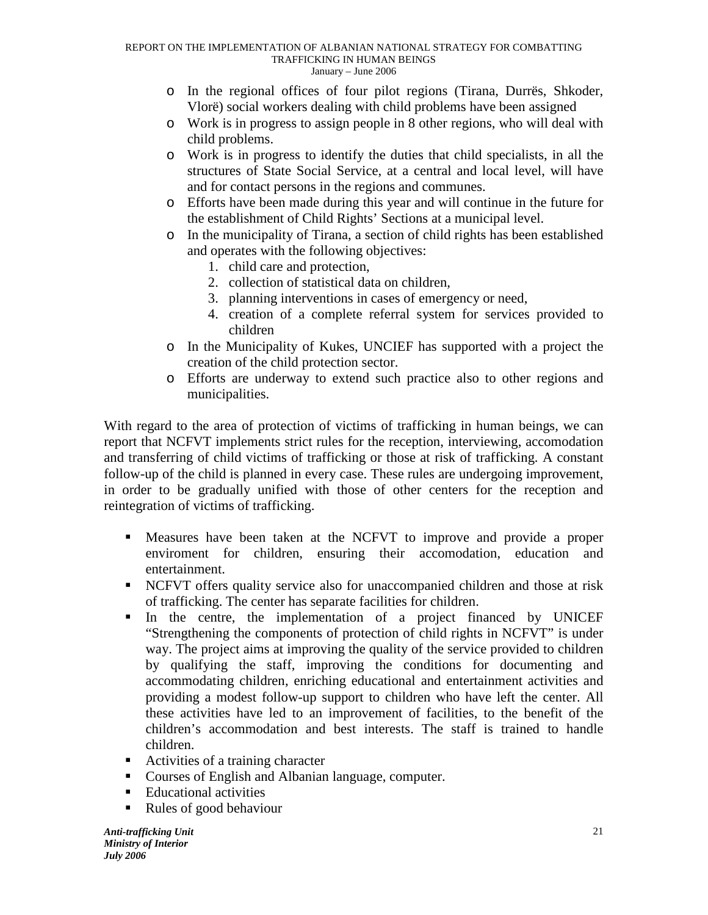- o In the regional offices of four pilot regions (Tirana, Durrës, Shkoder, Vlorë) social workers dealing with child problems have been assigned
- o Work is in progress to assign people in 8 other regions, who will deal with child problems.
- o Work is in progress to identify the duties that child specialists, in all the structures of State Social Service, at a central and local level, will have and for contact persons in the regions and communes.
- o Efforts have been made during this year and will continue in the future for the establishment of Child Rights' Sections at a municipal level.
- o In the municipality of Tirana, a section of child rights has been established and operates with the following objectives:
	- 1. child care and protection,
	- 2. collection of statistical data on children,
	- 3. planning interventions in cases of emergency or need,
	- 4. creation of a complete referral system for services provided to children
- o In the Municipality of Kukes, UNCIEF has supported with a project the creation of the child protection sector.
- o Efforts are underway to extend such practice also to other regions and municipalities.

With regard to the area of protection of victims of trafficking in human beings, we can report that NCFVT implements strict rules for the reception, interviewing, accomodation and transferring of child victims of trafficking or those at risk of trafficking. A constant follow-up of the child is planned in every case. These rules are undergoing improvement, in order to be gradually unified with those of other centers for the reception and reintegration of victims of trafficking.

- Measures have been taken at the NCFVT to improve and provide a proper enviroment for children, ensuring their accomodation, education and entertainment.
- NCFVT offers quality service also for unaccompanied children and those at risk of trafficking. The center has separate facilities for children.
- In the centre, the implementation of a project financed by UNICEF "Strengthening the components of protection of child rights in NCFVT" is under way. The project aims at improving the quality of the service provided to children by qualifying the staff, improving the conditions for documenting and accommodating children, enriching educational and entertainment activities and providing a modest follow-up support to children who have left the center. All these activities have led to an improvement of facilities, to the benefit of the children's accommodation and best interests. The staff is trained to handle children.
- **-** Activities of a training character
- **Courses of English and Albanian language, computer.**
- **Educational activities**
- -Rules of good behaviour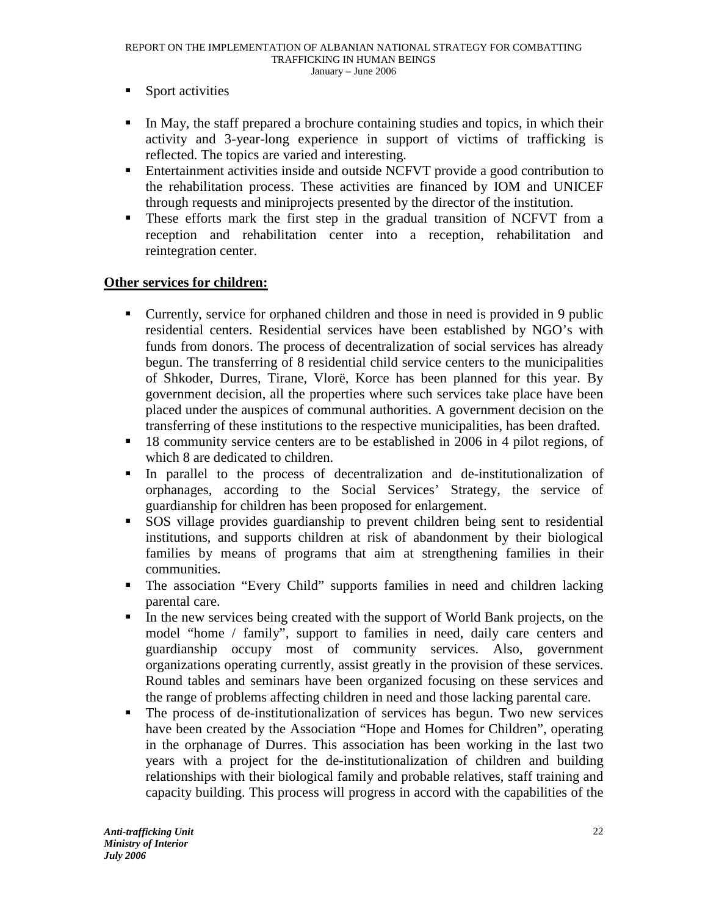- -Sport activities
- In May, the staff prepared a brochure containing studies and topics, in which their activity and 3-year-long experience in support of victims of trafficking is reflected. The topics are varied and interesting.
- **Entertainment activities inside and outside NCFVT provide a good contribution to** the rehabilitation process. These activities are financed by IOM and UNICEF through requests and miniprojects presented by the director of the institution.
- - These efforts mark the first step in the gradual transition of NCFVT from a reception and rehabilitation center into a reception, rehabilitation and reintegration center.

## **Other services for children:**

- Currently, service for orphaned children and those in need is provided in 9 public residential centers. Residential services have been established by NGO's with funds from donors. The process of decentralization of social services has already begun. The transferring of 8 residential child service centers to the municipalities of Shkoder, Durres, Tirane, Vlorë, Korce has been planned for this year. By government decision, all the properties where such services take place have been placed under the auspices of communal authorities. A government decision on the transferring of these institutions to the respective municipalities, has been drafted.
- <sup>18</sup> 18 community service centers are to be established in 2006 in 4 pilot regions, of which 8 are dedicated to children.
- - In parallel to the process of decentralization and de-institutionalization of orphanages, according to the Social Services' Strategy, the service of guardianship for children has been proposed for enlargement.
- - SOS village provides guardianship to prevent children being sent to residential institutions, and supports children at risk of abandonment by their biological families by means of programs that aim at strengthening families in their communities.
- The association "Every Child" supports families in need and children lacking parental care.
- $\blacksquare$  In the new services being created with the support of World Bank projects, on the model "home / family", support to families in need, daily care centers and guardianship occupy most of community services. Also, government organizations operating currently, assist greatly in the provision of these services. Round tables and seminars have been organized focusing on these services and the range of problems affecting children in need and those lacking parental care.
- - The process of de-institutionalization of services has begun. Two new services have been created by the Association "Hope and Homes for Children", operating in the orphanage of Durres. This association has been working in the last two years with a project for the de-institutionalization of children and building relationships with their biological family and probable relatives, staff training and capacity building. This process will progress in accord with the capabilities of the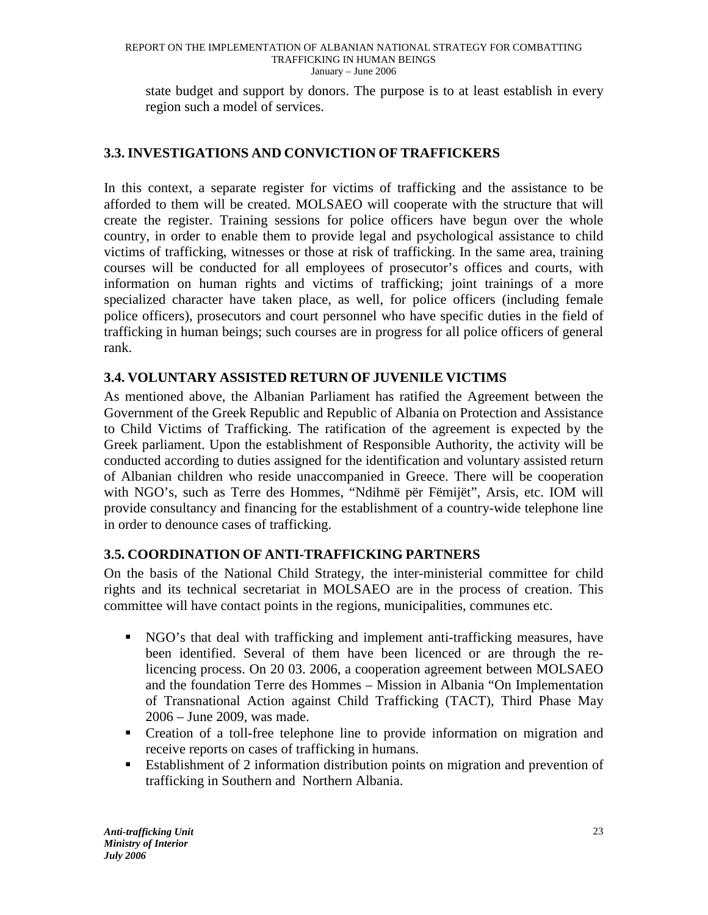state budget and support by donors. The purpose is to at least establish in every region such a model of services.

## **3.3. INVESTIGATIONS AND CONVICTION OF TRAFFICKERS**

In this context, a separate register for victims of trafficking and the assistance to be afforded to them will be created. MOLSAEO will cooperate with the structure that will create the register. Training sessions for police officers have begun over the whole country, in order to enable them to provide legal and psychological assistance to child victims of trafficking, witnesses or those at risk of trafficking. In the same area, training courses will be conducted for all employees of prosecutor's offices and courts, with information on human rights and victims of trafficking; joint trainings of a more specialized character have taken place, as well, for police officers (including female police officers), prosecutors and court personnel who have specific duties in the field of trafficking in human beings; such courses are in progress for all police officers of general rank.

## **3.4. VOLUNTARY ASSISTED RETURN OF JUVENILE VICTIMS**

As mentioned above, the Albanian Parliament has ratified the Agreement between the Government of the Greek Republic and Republic of Albania on Protection and Assistance to Child Victims of Trafficking. The ratification of the agreement is expected by the Greek parliament. Upon the establishment of Responsible Authority, the activity will be conducted according to duties assigned for the identification and voluntary assisted return of Albanian children who reside unaccompanied in Greece. There will be cooperation with NGO's, such as Terre des Hommes, "Ndihmë për Fëmijët", Arsis, etc. IOM will provide consultancy and financing for the establishment of a country-wide telephone line in order to denounce cases of trafficking.

## **3.5. COORDINATION OF ANTI-TRAFFICKING PARTNERS**

On the basis of the National Child Strategy, the inter-ministerial committee for child rights and its technical secretariat in MOLSAEO are in the process of creation. This committee will have contact points in the regions, municipalities, communes etc.

- NGO's that deal with trafficking and implement anti-trafficking measures, have been identified. Several of them have been licenced or are through the relicencing process. On 20 03. 2006, a cooperation agreement between MOLSAEO and the foundation Terre des Hommes – Mission in Albania "On Implementation of Transnational Action against Child Trafficking (TACT), Third Phase May 2006 – June 2009, was made.
- Creation of a toll-free telephone line to provide information on migration and receive reports on cases of trafficking in humans.
- **Establishment of 2 information distribution points on migration and prevention of** trafficking in Southern and Northern Albania.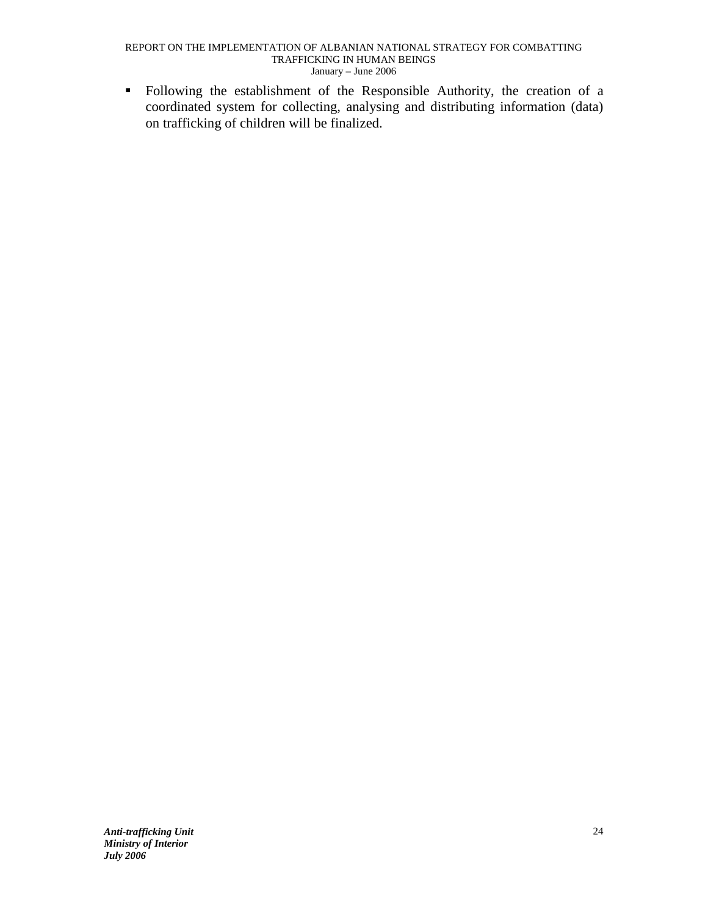- Following the establishment of the Responsible Authority, the creation of a coordinated system for collecting, analysing and distributing information (data) on trafficking of children will be finalized.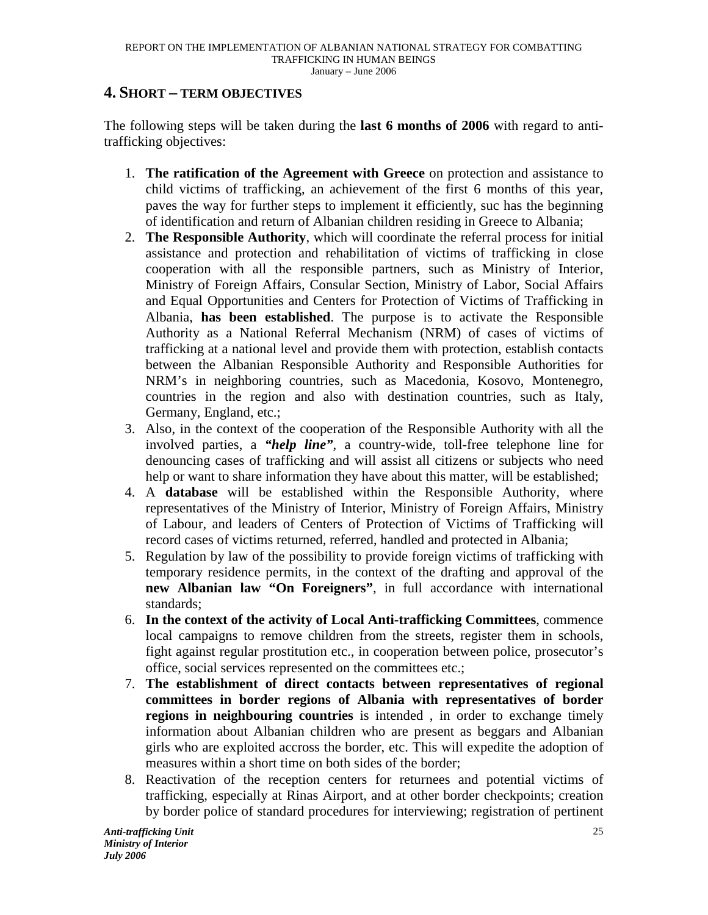## **4. SHORT – TERM OBJECTIVES**

The following steps will be taken during the **last 6 months of 2006** with regard to antitrafficking objectives:

- 1. **The ratification of the Agreement with Greece** on protection and assistance to child victims of trafficking, an achievement of the first 6 months of this year, paves the way for further steps to implement it efficiently, suc has the beginning of identification and return of Albanian children residing in Greece to Albania;
- 2. **The Responsible Authority**, which will coordinate the referral process for initial assistance and protection and rehabilitation of victims of trafficking in close cooperation with all the responsible partners, such as Ministry of Interior, Ministry of Foreign Affairs, Consular Section, Ministry of Labor, Social Affairs and Equal Opportunities and Centers for Protection of Victims of Trafficking in Albania, **has been established**. The purpose is to activate the Responsible Authority as a National Referral Mechanism (NRM) of cases of victims of trafficking at a national level and provide them with protection, establish contacts between the Albanian Responsible Authority and Responsible Authorities for NRM's in neighboring countries, such as Macedonia, Kosovo, Montenegro, countries in the region and also with destination countries, such as Italy, Germany, England, etc.;
- 3. Also, in the context of the cooperation of the Responsible Authority with all the involved parties, a *"help line"*, a country-wide, toll-free telephone line for denouncing cases of trafficking and will assist all citizens or subjects who need help or want to share information they have about this matter, will be established;
- 4. A **database** will be established within the Responsible Authority, where representatives of the Ministry of Interior, Ministry of Foreign Affairs, Ministry of Labour, and leaders of Centers of Protection of Victims of Trafficking will record cases of victims returned, referred, handled and protected in Albania;
- 5. Regulation by law of the possibility to provide foreign victims of trafficking with temporary residence permits, in the context of the drafting and approval of the **new Albanian law "On Foreigners"**, in full accordance with international standards;
- 6. **In the context of the activity of Local Anti-trafficking Committees**, commence local campaigns to remove children from the streets, register them in schools, fight against regular prostitution etc., in cooperation between police, prosecutor's office, social services represented on the committees etc.;
- 7. **The establishment of direct contacts between representatives of regional committees in border regions of Albania with representatives of border regions in neighbouring countries** is intended , in order to exchange timely information about Albanian children who are present as beggars and Albanian girls who are exploited accross the border, etc. This will expedite the adoption of measures within a short time on both sides of the border;
- 8. Reactivation of the reception centers for returnees and potential victims of trafficking, especially at Rinas Airport, and at other border checkpoints; creation by border police of standard procedures for interviewing; registration of pertinent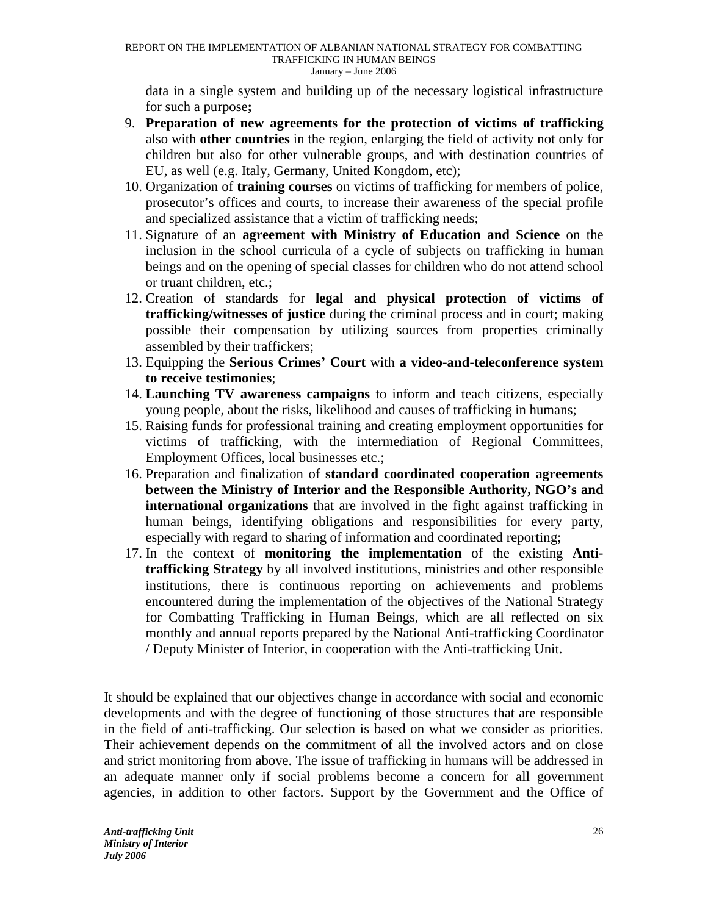data in a single system and building up of the necessary logistical infrastructure for such a purpose**;** 

- 9. **Preparation of new agreements for the protection of victims of trafficking**  also with **other countries** in the region, enlarging the field of activity not only for children but also for other vulnerable groups, and with destination countries of EU, as well (e.g. Italy, Germany, United Kongdom, etc);
- 10. Organization of **training courses** on victims of trafficking for members of police, prosecutor's offices and courts, to increase their awareness of the special profile and specialized assistance that a victim of trafficking needs;
- 11. Signature of an **agreement with Ministry of Education and Science** on the inclusion in the school curricula of a cycle of subjects on trafficking in human beings and on the opening of special classes for children who do not attend school or truant children, etc.;
- 12. Creation of standards for **legal and physical protection of victims of trafficking/witnesses of justice** during the criminal process and in court; making possible their compensation by utilizing sources from properties criminally assembled by their traffickers;
- 13. Equipping the **Serious Crimes' Court** with **a video-and-teleconference system to receive testimonies**;
- 14. **Launching TV awareness campaigns** to inform and teach citizens, especially young people, about the risks, likelihood and causes of trafficking in humans;
- 15. Raising funds for professional training and creating employment opportunities for victims of trafficking, with the intermediation of Regional Committees, Employment Offices, local businesses etc.;
- 16. Preparation and finalization of **standard coordinated cooperation agreements between the Ministry of Interior and the Responsible Authority, NGO's and international organizations** that are involved in the fight against trafficking in human beings, identifying obligations and responsibilities for every party, especially with regard to sharing of information and coordinated reporting;
- 17. In the context of **monitoring the implementation** of the existing **Antitrafficking Strategy** by all involved institutions, ministries and other responsible institutions, there is continuous reporting on achievements and problems encountered during the implementation of the objectives of the National Strategy for Combatting Trafficking in Human Beings, which are all reflected on six monthly and annual reports prepared by the National Anti-trafficking Coordinator / Deputy Minister of Interior, in cooperation with the Anti-trafficking Unit.

It should be explained that our objectives change in accordance with social and economic developments and with the degree of functioning of those structures that are responsible in the field of anti-trafficking. Our selection is based on what we consider as priorities. Their achievement depends on the commitment of all the involved actors and on close and strict monitoring from above. The issue of trafficking in humans will be addressed in an adequate manner only if social problems become a concern for all government agencies, in addition to other factors. Support by the Government and the Office of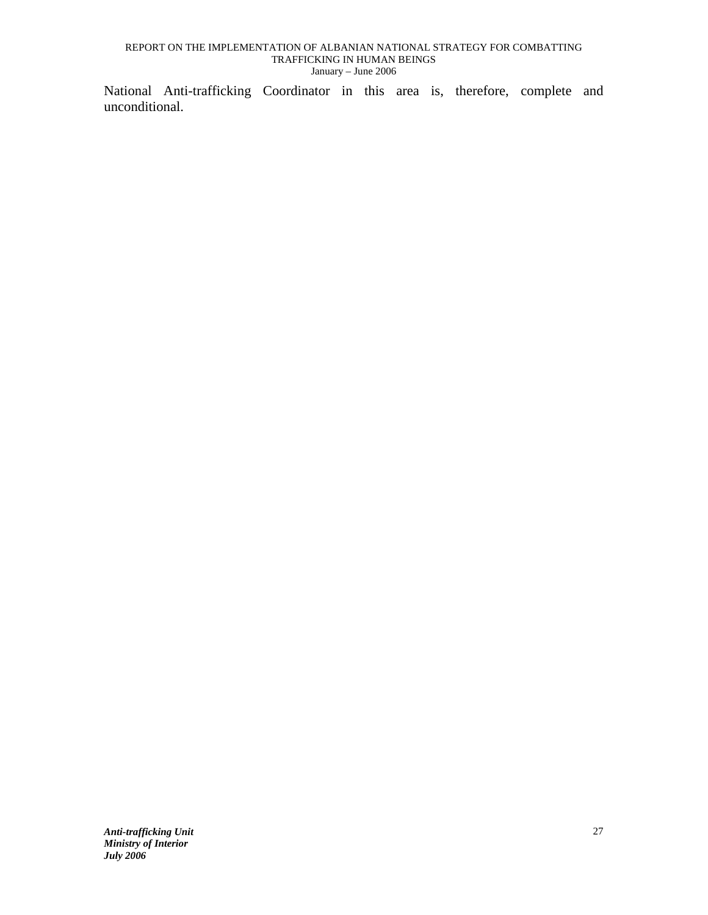National Anti-trafficking Coordinator in this area is, therefore, complete and unconditional.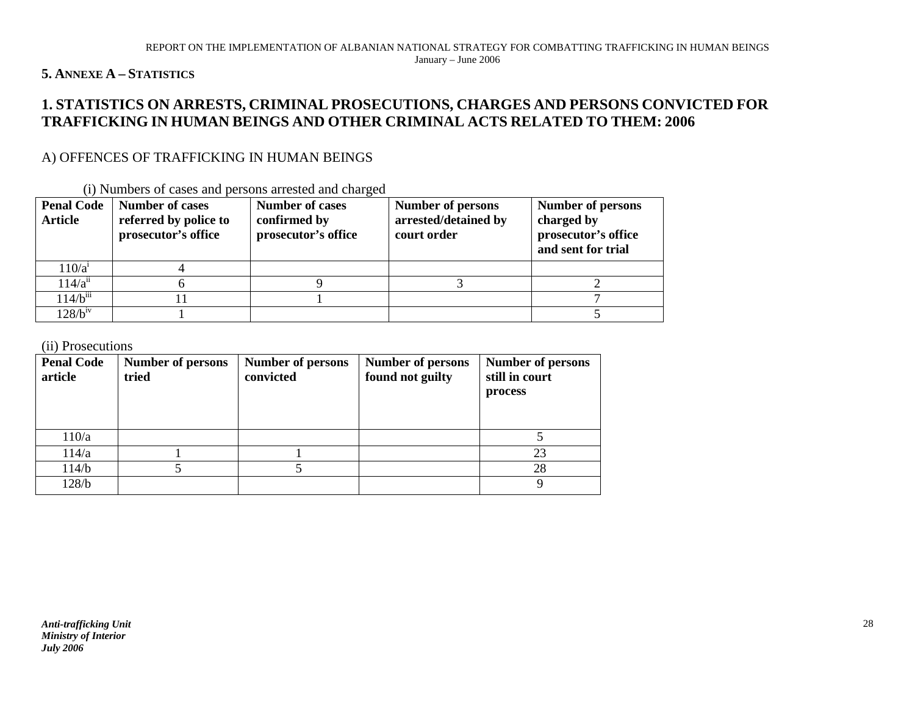## **5. ANNEXE A – <sup>S</sup>TATISTICS**

# 1. STATISTICS ON ARRESTS, CRIMINAL PROSECUTIONS, CHARGES AND PERSONS CONVICTED FOR<br>TRAFFICKING IN HUMAN BEINGS AND OTHER CRIMINAL ACTS RELATED TO THEM: 2006

## A) OFFENCES OF TRAFFICKING IN HUMAN BEINGS

| <b>Penal Code</b><br><b>Article</b> | <b>Number of cases</b><br>referred by police to<br>prosecutor's office | <b>Number of cases</b><br>confirmed by<br>prosecutor's office | <b>Number of persons</b><br>arrested/detained by<br>court order | <b>Number of persons</b><br>charged by<br>prosecutor's office<br>and sent for trial |
|-------------------------------------|------------------------------------------------------------------------|---------------------------------------------------------------|-----------------------------------------------------------------|-------------------------------------------------------------------------------------|
| $110/a^1$                           |                                                                        |                                                               |                                                                 |                                                                                     |
| 114/a <sup>ii</sup>                 |                                                                        |                                                               |                                                                 |                                                                                     |
| $114/b^{iii}$                       |                                                                        |                                                               |                                                                 |                                                                                     |
| $128/b^{\rm iv}$                    |                                                                        |                                                               |                                                                 |                                                                                     |

(i) Numbers of cases and persons arrested and charged

(ii) Prosecutions

| <b>Penal Code</b><br>article | <b>Number of persons</b><br>tried | Number of persons<br>convicted | <b>Number of persons</b><br>found not guilty | <b>Number of persons</b><br>still in court<br>process |
|------------------------------|-----------------------------------|--------------------------------|----------------------------------------------|-------------------------------------------------------|
| 110/a                        |                                   |                                |                                              |                                                       |
| 114/a                        |                                   |                                |                                              | 23                                                    |
| 114/b                        |                                   |                                |                                              | 28                                                    |
| 128/b                        |                                   |                                |                                              |                                                       |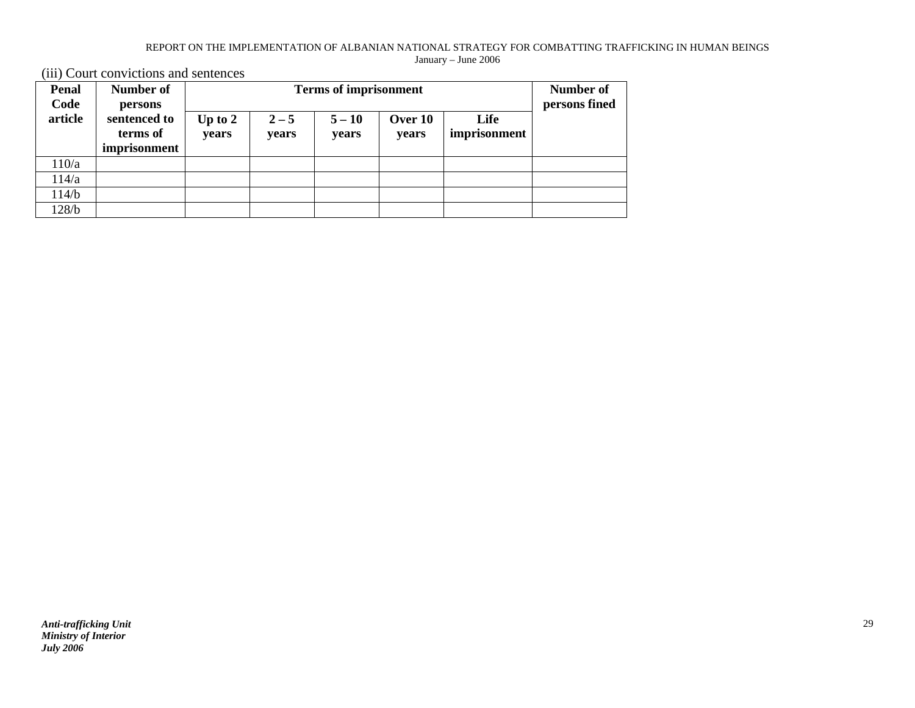(iii) Court convictions and sentences

| <b>Penal</b> | Number of    |           | <b>Terms of imprisonment</b> |          |         |              |               |
|--------------|--------------|-----------|------------------------------|----------|---------|--------------|---------------|
| Code         | persons      |           |                              |          |         |              | persons fined |
| article      | sentenced to | Up to $2$ | $2 - 5$                      | $5 - 10$ | Over 10 | Life         |               |
|              | terms of     | years     | years                        | years    | years   | imprisonment |               |
|              | imprisonment |           |                              |          |         |              |               |
| 110/a        |              |           |                              |          |         |              |               |
| 114/a        |              |           |                              |          |         |              |               |
| 114/b        |              |           |                              |          |         |              |               |
| 128/b        |              |           |                              |          |         |              |               |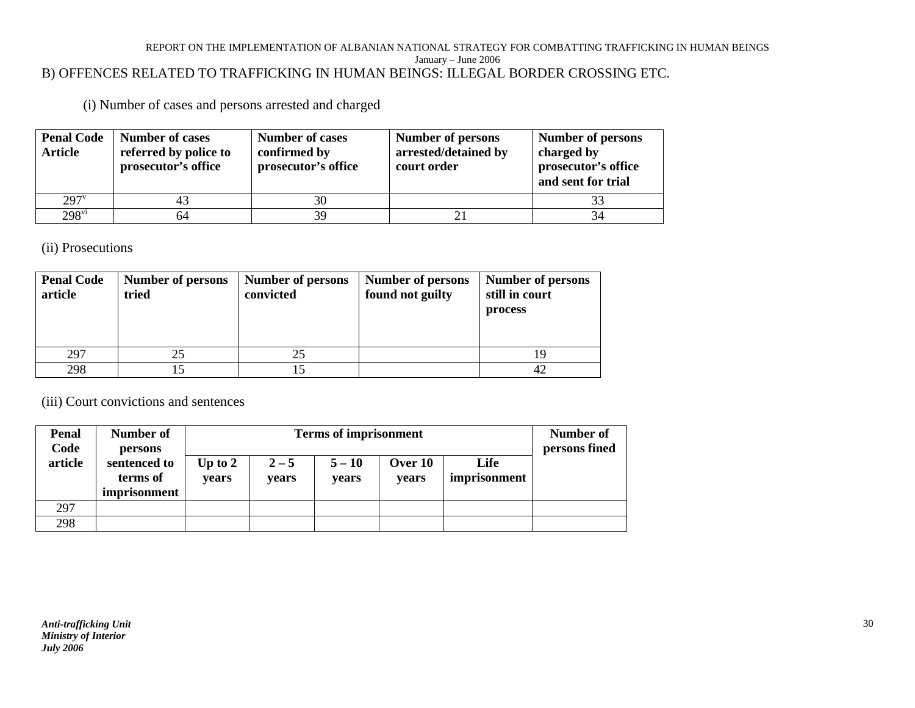#### REPORT ON THE IMPLEMENTATION OF ALBANIAN NATIONAL STRATEGY FOR COMBATTING TRAFFICKING IN HUMAN BEINGS January – June 2006 B) OFFENCES RELATED TO TRAFFICKING IN HUMAN BEINGS: ILLEGAL BORDER CROSSING ETC.

(i) Number of cases and persons arrested and charged

| <b>Penal Code</b><br><b>Article</b> | <b>Number of cases</b><br>referred by police to<br>prosecutor's office | <b>Number of cases</b><br>confirmed by<br>prosecutor's office | <b>Number of persons</b><br>arrested/detained by<br>court order | <b>Number of persons</b><br>charged by<br>prosecutor's office<br>and sent for trial |
|-------------------------------------|------------------------------------------------------------------------|---------------------------------------------------------------|-----------------------------------------------------------------|-------------------------------------------------------------------------------------|
| $297^v$                             |                                                                        | 30                                                            |                                                                 |                                                                                     |
| $298^{\text{vi}}$                   | 64                                                                     | 39                                                            | $\overline{2}$ ]                                                |                                                                                     |

(ii) Prosecutions

| <b>Penal Code</b><br>article | Number of persons<br>tried | Number of persons<br>convicted | <b>Number of persons</b><br>found not guilty | <b>Number of persons</b><br>still in court<br>process |
|------------------------------|----------------------------|--------------------------------|----------------------------------------------|-------------------------------------------------------|
| 297                          |                            |                                |                                              |                                                       |
| 298                          |                            |                                |                                              |                                                       |

(iii) Court convictions and sentences

| <b>Penal</b><br>Code | Number of                                           |                    | <b>Terms of imprisonment</b> |                   |                  |                      |               |  |
|----------------------|-----------------------------------------------------|--------------------|------------------------------|-------------------|------------------|----------------------|---------------|--|
| article              | persons<br>sentenced to<br>terms of<br>imprisonment | Up to $2$<br>vears | $2 - 5$<br>years             | $5 - 10$<br>years | Over 10<br>vears | Life<br>imprisonment | persons fined |  |
| 297                  |                                                     |                    |                              |                   |                  |                      |               |  |
| 298                  |                                                     |                    |                              |                   |                  |                      |               |  |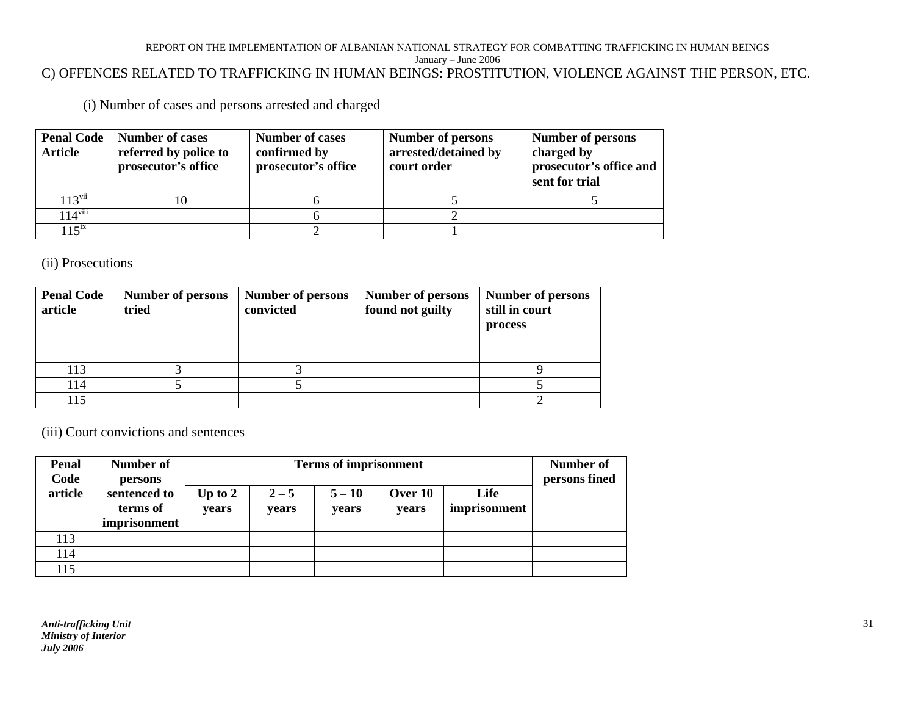#### REPORT ON THE IMPLEMENTATION OF ALBANIAN NATIONAL STRATEGY FOR COMBATTING TRAFFICKING IN HUMAN BEINGS January – June 2006 C) OFFENCES RELATED TO TRAFFICKING IN HUMAN BEINGS: PROSTITUTION, VIOLENCE AGAINST THE PERSON, ETC.

(i) Number of cases and persons arrested and charged

| <b>Penal Code</b><br><b>Article</b> | Number of cases<br>referred by police to<br>prosecutor's office | <b>Number of cases</b><br>confirmed by<br>prosecutor's office | <b>Number of persons</b><br>arrested/detained by<br>court order | <b>Number of persons</b><br>charged by<br>prosecutor's office and<br>sent for trial |
|-------------------------------------|-----------------------------------------------------------------|---------------------------------------------------------------|-----------------------------------------------------------------|-------------------------------------------------------------------------------------|
| $113$ <sup>vii</sup>                |                                                                 |                                                               |                                                                 |                                                                                     |
| $114^{\text{viii}}$                 |                                                                 |                                                               |                                                                 |                                                                                     |
| $115^{ix}$                          |                                                                 |                                                               |                                                                 |                                                                                     |

(ii) Prosecutions

| <b>Penal Code</b><br>article | <b>Number of persons</b><br>tried | Number of persons<br>convicted | Number of persons<br>found not guilty | <b>Number of persons</b><br>still in court<br>process |
|------------------------------|-----------------------------------|--------------------------------|---------------------------------------|-------------------------------------------------------|
| 113                          |                                   |                                |                                       |                                                       |
| 114                          |                                   |                                |                                       |                                                       |
| 15                           |                                   |                                |                                       |                                                       |

(iii) Court convictions and sentences

| <b>Penal</b><br>Code | Number of<br>persons                     | <b>Terms of imprisonment</b> |                  |                   |                  |                      | Number of<br>persons fined |
|----------------------|------------------------------------------|------------------------------|------------------|-------------------|------------------|----------------------|----------------------------|
| article              | sentenced to<br>terms of<br>imprisonment | Up to $2$<br>years           | $2 - 5$<br>years | $5 - 10$<br>years | Over 10<br>years | Life<br>imprisonment |                            |
| 113                  |                                          |                              |                  |                   |                  |                      |                            |
| 114                  |                                          |                              |                  |                   |                  |                      |                            |
| 115                  |                                          |                              |                  |                   |                  |                      |                            |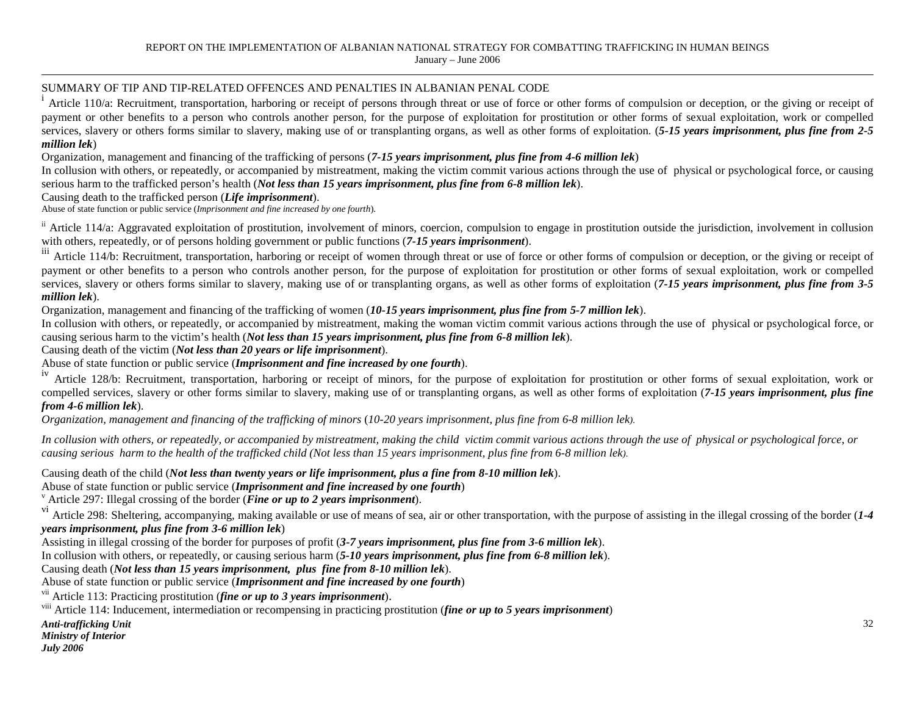#### SUMMARY OF TIP AND TIP-RELATED OFFENCES AND PENALTIES IN ALBANIAN PENAL CODE

iArticle 110/a: Recruitment, transportation, harboring or receipt of persons through threat or use of force or other forms of compulsion or deception, or the giving or receipt of payment or other benefits to a person who controls another person, for the purpose of exploitation for prostitution or other forms of sexual exploitation, work or compelled services, slavery or others forms similar to slavery, making use of or transplanting organs, as well as other forms of exploitation. (*5-15 years imprisonment, plus fine from 2-5 million lek*)

Organization, management and financing of the trafficking of persons (*7-15 years imprisonment, plus fine from 4-6 million lek*)

 In collusion with others, or repeatedly, or accompanied by mistreatment, making the victim commit various actions through the use of physical or psychological force, or causing serious harm to the trafficked person's health (*Not less than 15 years imprisonment, plus fine from 6-8 million lek*).

#### Causing death to the trafficked person (*Life imprisonment*).

Abuse of state function or public service (*Imprisonment and fine increased by one fourth*).

 $\mu$  article 114/a: Aggravated exploitation of prostitution, involvement of minors, coercion, compulsion to engage in prostitution outside the jurisdiction, involvement in collusion with others, repeatedly, or of persons holding government or public functions (*7-15 years imprisonment*).

<sup>iii</sup> Article 114/b: Recruitment, transportation, harboring or receipt of women through threat or use of force or other forms of compulsion or deception, or the giving or receipt of payment or other benefits to a person who controls another person, for the purpose of exploitation for prostitution or other forms of sexual exploitation, work or compelled services, slavery or others forms similar to slavery, making use of or transplanting organs, as well as other forms of exploitation (*7-15 years imprisonment, plus fine from 3-5 million lek*).

Organization, management and financing of the trafficking of women (*10-15 years imprisonment, plus fine from 5-7 million lek*).

 In collusion with others, or repeatedly, or accompanied by mistreatment, making the woman victim commit various actions through the use of physical or psychological force, or causing serious harm to the victim's health (*Not less than 15 years imprisonment, plus fine from 6-8 million lek*).

Causing death of the victim (*Not less than 20 years or life imprisonment*).

Abuse of state function or public service (*Imprisonment and fine increased by one fourth*).

<sup>iv</sup> Article 128/b: Recruitment, transportation, harboring or receipt of minors, for the purpose of exploitation for prostitution or other forms of sexual exploitation, work or compelled services, slavery or other forms similar to slavery, making use of or transplanting organs, as well as other forms of exploitation (*7-15 years imprisonment, plus fine from 4-6 million lek*).

*Organization, management and financing of the trafficking of minors* (*10-20 years imprisonment, plus fine from 6-8 million lek)*.

*In collusion with others, or repeatedly, or accompanied by mistreatment, making the child victim commit various actions through the use of physical or psychological force, or causing serious harm to the health of the trafficked child (Not less than 15 years imprisonment, plus fine from 6-8 million lek)*.

Causing death of the child (*Not less than twenty years or life imprisonment, plus a fine from 8-10 million lek*).

Abuse of state function or public service (*Imprisonment and fine increased by one fourth*)

v Article 297: Illegal crossing of the border (*Fine or up to 2 years imprisonment*).

 vi Article 298: Sheltering, accompanying, making available or use of means of sea, air or other transportation, with the purpose of assisting in the illegal crossing of the border (*1-4 years imprisonment, plus fine from 3-6 million lek*)

Assisting in illegal crossing of the border for purposes of profit (*3-7 years imprisonment, plus fine from 3-6 million lek*).

In collusion with others, or repeatedly, or causing serious harm (*5-10 years imprisonment, plus fine from 6-8 million lek*).

Causing death (*Not less than 15 years imprisonment, plus fine from 8-10 million lek*).

Abuse of state function or public service (*Imprisonment and fine increased by one fourth*)

vii Article 113: Practicing prostitution (*fine or up to 3 years imprisonment*).

viii Article 114: Inducement, intermediation or recompensing in practicing prostitution (*fine or up to 5 years imprisonment*)

*Anti-trafficking Unit* 

*Ministry of Interior July 2006*